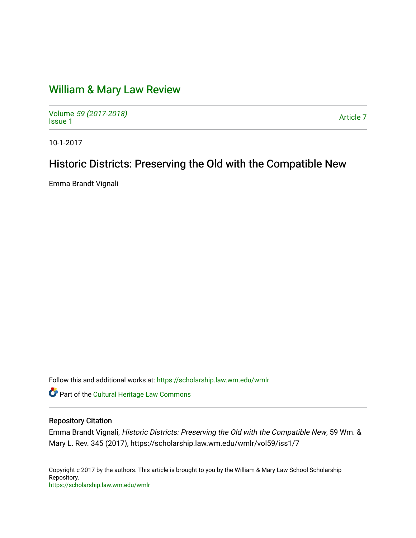# [William & Mary Law Review](https://scholarship.law.wm.edu/wmlr)

Volume [59 \(2017-2018\)](https://scholarship.law.wm.edu/wmlr/vol59)  volume 59 (2017-2010)<br>[Issue 1](https://scholarship.law.wm.edu/wmlr/vol59/iss1)

10-1-2017

# Historic Districts: Preserving the Old with the Compatible New

Emma Brandt Vignali

Follow this and additional works at: [https://scholarship.law.wm.edu/wmlr](https://scholarship.law.wm.edu/wmlr?utm_source=scholarship.law.wm.edu%2Fwmlr%2Fvol59%2Fiss1%2F7&utm_medium=PDF&utm_campaign=PDFCoverPages)

Part of the [Cultural Heritage Law Commons](http://network.bepress.com/hgg/discipline/1384?utm_source=scholarship.law.wm.edu%2Fwmlr%2Fvol59%2Fiss1%2F7&utm_medium=PDF&utm_campaign=PDFCoverPages)

# Repository Citation

Emma Brandt Vignali, Historic Districts: Preserving the Old with the Compatible New, 59 Wm. & Mary L. Rev. 345 (2017), https://scholarship.law.wm.edu/wmlr/vol59/iss1/7

Copyright c 2017 by the authors. This article is brought to you by the William & Mary Law School Scholarship Repository. <https://scholarship.law.wm.edu/wmlr>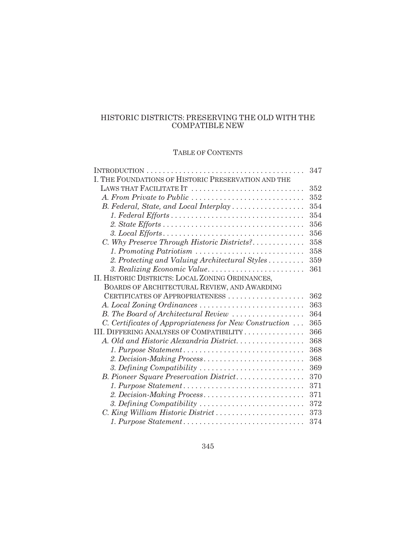# HISTORIC DISTRICTS: PRESERVING THE OLD WITH THE COMPATIBLE NEW

# TABLE OF CONTENTS

|                                                         | 347 |
|---------------------------------------------------------|-----|
| I. THE FOUNDATIONS OF HISTORIC PRESERVATION AND THE     |     |
| LAWS THAT FACILITATE IT                                 | 352 |
| A. From Private to Public                               | 352 |
| B. Federal, State, and Local Interplay                  | 354 |
|                                                         | 354 |
|                                                         | 356 |
|                                                         | 356 |
| C. Why Preserve Through Historic Districts?             | 358 |
| 1. Promoting Patriotism                                 | 358 |
| 2. Protecting and Valuing Architectural Styles          | 359 |
| 3. Realizing Economic Value                             | 361 |
| II. HISTORIC DISTRICTS: LOCAL ZONING ORDINANCES,        |     |
| BOARDS OF ARCHITECTURAL REVIEW, AND AWARDING            |     |
| CERTIFICATES OF APPROPRIATENESS                         | 362 |
| A. Local Zoning Ordinances                              | 363 |
| B. The Board of Architectural Review                    | 364 |
| C. Certificates of Appropriateness for New Construction | 365 |
| III. DIFFERING ANALYSES OF COMPATIBILITY                | 366 |
| A. Old and Historic Alexandria District                 | 368 |
| 1. Purpose Statement                                    | 368 |
| 2. Decision-Making Process                              | 368 |
| 3. Defining Compatibility                               | 369 |
| B. Pioneer Square Preservation District                 | 370 |
| 1. Purpose Statement                                    | 371 |
| 2. Decision-Making Process                              | 371 |
| 3. Defining Compatibility                               | 372 |
| C. King William Historic District                       | 373 |
| 1. Purpose Statement                                    | 374 |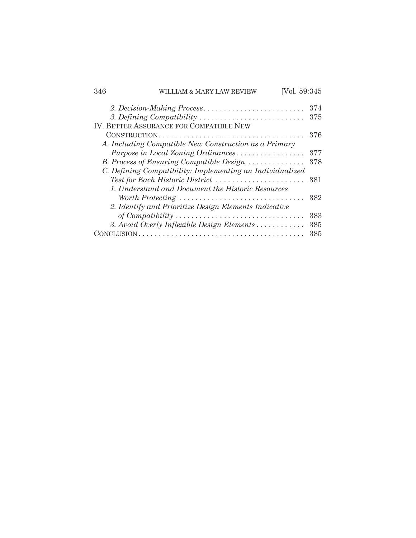| 346         | WILLIAM & MARY LAW REVIEW                                                                   | [Vol. 59:345 |            |
|-------------|---------------------------------------------------------------------------------------------|--------------|------------|
|             |                                                                                             |              | 374        |
|             | 3. Defining Compatibility<br>IV. BETTER ASSURANCE FOR COMPATIBLE NEW                        |              | 375        |
|             |                                                                                             |              | 376        |
|             | A. Including Compatible New Construction as a Primary<br>Purpose in Local Zoning Ordinances |              | 377        |
|             | B. Process of Ensuring Compatible Design                                                    |              | 378        |
|             | C. Defining Compatibility: Implementing an Individualized                                   |              |            |
|             | Test for Each Historic District<br>1. Understand and Document the Historic Resources        |              | 381        |
|             |                                                                                             |              | 382        |
|             | 2. Identify and Prioritize Design Elements Indicative                                       |              |            |
|             |                                                                                             |              | 383<br>385 |
| ONCLUSION . | 3. Avoid Overly Inflexible Design Elements                                                  |              | 385        |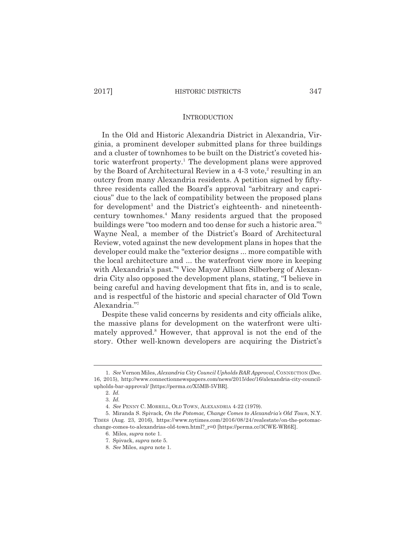#### **INTRODUCTION**

In the Old and Historic Alexandria District in Alexandria, Virginia, a prominent developer submitted plans for three buildings and a cluster of townhomes to be built on the District's coveted historic waterfront property.<sup>1</sup> The development plans were approved by the Board of Architectural Review in a 4-3 vote,<sup>2</sup> resulting in an outcry from many Alexandria residents. A petition signed by fiftythree residents called the Board's approval "arbitrary and capricious" due to the lack of compatibility between the proposed plans for development<sup>3</sup> and the District's eighteenth- and nineteenthcentury townhomes.4 Many residents argued that the proposed buildings were "too modern and too dense for such a historic area."5 Wayne Neal, a member of the District's Board of Architectural Review, voted against the new development plans in hopes that the developer could make the "exterior designs ... more compatible with the local architecture and ... the waterfront view more in keeping with Alexandria's past."6 Vice Mayor Allison Silberberg of Alexandria City also opposed the development plans, stating, "I believe in being careful and having development that fits in, and is to scale, and is respectful of the historic and special character of Old Town Alexandria."7

Despite these valid concerns by residents and city officials alike, the massive plans for development on the waterfront were ultimately approved.<sup>8</sup> However, that approval is not the end of the story. Other well-known developers are acquiring the District's

<sup>1.</sup> *See* Vernon Miles, *Alexandria City Council Upholds BAR Approval*, CONNECTION (Dec. 16, 2015), http://www.connectionnewspapers.com/news/2015/dec/16/alexandria-city-councilupholds-bar-approval/ [https://perma.cc/X5MB-5VBR].

<sup>2.</sup> *Id.*

<sup>3.</sup> *Id.*

<sup>4.</sup> *See* PENNY C. MORRILL, OLD TOWN, ALEXANDRIA 4-22 (1979).

<sup>5.</sup> Miranda S. Spivack, *On the Potomac, Change Comes to Alexandria's Old Town*, N.Y. TIMES (Aug. 23, 2016), https://www.nytimes.com/2016/08/24/realestate/on-the-potomacchange-comes-to-alexandrias-old-town.html?\_r=0 [https://perma.cc/3CWE-WR6E].

<sup>6.</sup> Miles, *supra* note 1.

<sup>7.</sup> Spivack, *supra* note 5.

<sup>8.</sup> *See* Miles, *supra* note 1.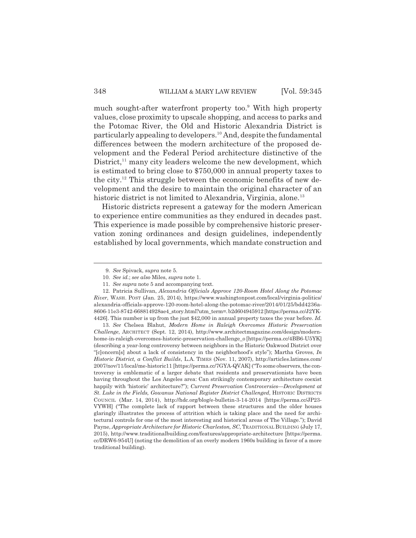much sought-after waterfront property too.<sup>9</sup> With high property values, close proximity to upscale shopping, and access to parks and the Potomac River, the Old and Historic Alexandria District is particularly appealing to developers.10 And, despite the fundamental differences between the modern architecture of the proposed development and the Federal Period architecture distinctive of the District, $11$  many city leaders welcome the new development, which is estimated to bring close to \$750,000 in annual property taxes to the city.<sup>12</sup> This struggle between the economic benefits of new development and the desire to maintain the original character of an historic district is not limited to Alexandria, Virginia, alone.<sup>13</sup>

Historic districts represent a gateway for the modern American to experience entire communities as they endured in decades past. This experience is made possible by comprehensive historic preservation zoning ordinances and design guidelines, independently established by local governments, which mandate construction and

13. *See* Chelsea Blahut, *Modern Home in Raleigh Overcomes Historic Preservation Challenge*, ARCHITECT (Sept. 12, 2014), http://www.architectmagazine.com/design/modernhome-in-raleigh-overcomes-historic-preservation-challenge\_o [https://perma.cc/4BB6-U5YK] (describing a year-long controversy between neighbors in the Historic Oakwood District over "[c]oncern[s] about a lack of consistency in the neighborhood's style"); Martha Groves, *In Historic District, a Conflict Builds*, L.A. TIMES (Nov. 11, 2007), http://articles.latimes.com/ 2007/nov/11/local/me-historic11 [https://perma.cc/7GYA-QVAK] ("To some observers, the controversy is emblematic of a larger debate that residents and preservationists have been having throughout the Los Angeles area: Can strikingly contemporary architecture coexist happily with 'historic' architecture?"); *Current Preservation Controversies—Development at St. Luke in the Fields, Gowanus National Register District Challenged*, HISTORIC DISTRICTS COUNCIL (Mar. 14, 2014), http://hdc.org/blog/e-bulletin-3-14-2014 [https://perma.cc/JP23- VYWH] ("The complete lack of rapport between these structures and the older houses glaringly illustrates the process of attrition which is taking place and the need for architectural controls for one of the most interesting and historical areas of The Village."); David Payne, *Appropriate Architecture for Historic Charleston, SC*, TRADITIONAL BUILDING (July 17, 2015), http://www.traditionalbuilding.com/features/appropriate-architecture [https://perma. cc/DRW6-954U] (noting the demolition of an overly modern 1960s building in favor of a more traditional building).

<sup>9.</sup> *See* Spivack, *supra* note 5.

<sup>10.</sup> *See id.*; *see also* Miles, *supra* note 1.

<sup>11.</sup> *See supra* note 5 and accompanying text.

<sup>12.</sup> Patricia Sullivan, *Alexandria Officials Approve 120-Room Hotel Along the Potomac River*, WASH. POST (Jan. 25, 2014), https://www.washingtonpost.com/local/virginia-politics/ alexandria-officials-approve-120-room-hotel-along-the-potomac-river/2014/01/25/bdd4236a-8606-11e3-8742-668814928ae4\_story.html?utm\_term=. b2d604945912 [https://perma.cc/J2YK-4426]. This number is up from the just \$42,000 in annual property taxes the year before. *Id.*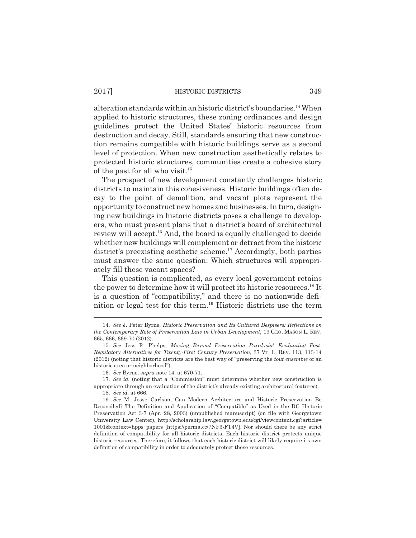alteration standards within an historic district's boundaries.14 When applied to historic structures, these zoning ordinances and design guidelines protect the United States' historic resources from destruction and decay. Still, standards ensuring that new construction remains compatible with historic buildings serve as a second level of protection. When new construction aesthetically relates to protected historic structures, communities create a cohesive story of the past for all who visit.<sup>15</sup>

The prospect of new development constantly challenges historic districts to maintain this cohesiveness. Historic buildings often decay to the point of demolition, and vacant plots represent the opportunity to construct new homes and businesses. In turn, designing new buildings in historic districts poses a challenge to developers, who must present plans that a district's board of architectural review will accept.<sup>16</sup> And, the board is equally challenged to decide whether new buildings will complement or detract from the historic district's preexisting aesthetic scheme.<sup>17</sup> Accordingly, both parties must answer the same question: Which structures will appropriately fill these vacant spaces?

This question is complicated, as every local government retains the power to determine how it will protect its historic resources.18 It is a question of "compatibility," and there is no nationwide definition or legal test for this term.19 Historic districts use the term

18. *See id.* at 666.

<sup>14.</sup> *See* J. Peter Byrne, *Historic Preservation and Its Cultured Despisers: Reflections on the Contemporary Role of Preservation Law in Urban Development*, 19 GEO. MASON L. REV. 665, 666, 669-70 (2012).

<sup>15.</sup> *See* Jess R. Phelps, *Moving Beyond Preservation Paralysis? Evaluating Post-Regulatory Alternatives for Twenty-First Century Preservation*, 37 VT. L. REV. 113, 113-14 (2012) (noting that historic districts are the best way of "preserving the *tout ensemble* of an historic area or neighborhood").

<sup>16.</sup> *See* Byrne, *supra* note 14, at 670-71.

<sup>17.</sup> *See id.* (noting that a "Commission" must determine whether new construction is appropriate through an evaluation of the district's already-existing architectural features).

<sup>19.</sup> *See* M. Jesse Carlson, Can Modern Architecture and Historic Preservation Be Reconciled? The Definition and Application of "Compatible" as Used in the DC Historic Preservation Act 3-7 (Apr. 28, 2003) (unpublished manuscript) (on file with Georgetown University Law Center), http://scholarship.law.georgetown.edu/cgi/viewcontent.cgi?article= 1001&context=hpps\_papers [https://perma.cc/7NF3-FT4V]. Nor should there be any strict definition of compatibility for all historic districts. Each historic district protects unique historic resources. Therefore, it follows that each historic district will likely require its own definition of compatibility in order to adequately protect these resources.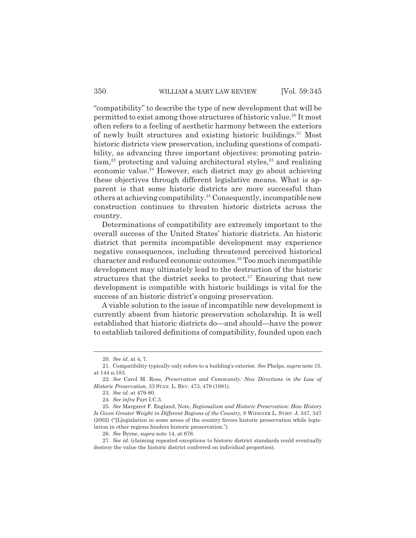"compatibility" to describe the type of new development that will be permitted to exist among those structures of historic value.<sup>20</sup> It most often refers to a feeling of aesthetic harmony between the exteriors of newly built structures and existing historic buildings. $21$  Most historic districts view preservation, including questions of compatibility, as advancing three important objectives: promoting patrio $tism<sup>22</sup>$  protecting and valuing architectural styles,<sup>23</sup> and realizing economic value.<sup>24</sup> However, each district may go about achieving these objectives through different legislative means. What is apparent is that some historic districts are more successful than others at achieving compatibility.<sup>25</sup> Consequently, incompatible new construction continues to threaten historic districts across the country.

Determinations of compatibility are extremely important to the overall success of the United States' historic districts. An historic district that permits incompatible development may experience negative consequences, including threatened perceived historical character and reduced economic outcomes.26 Too much incompatible development may ultimately lead to the destruction of the historic structures that the district seeks to protect.<sup>27</sup> Ensuring that new development is compatible with historic buildings is vital for the success of an historic district's ongoing preservation.

A viable solution to the issue of incompatible new development is currently absent from historic preservation scholarship. It is well established that historic districts do—and should—have the power to establish tailored definitions of compatibility, founded upon each

<sup>20.</sup> *See id.* at 4, 7.

<sup>21.</sup> Compatibility typically only refers to a building's exterior. *See* Phelps, *supra* note 15, at 144 n.183.

<sup>22.</sup> *See* Carol M. Rose, *Preservation and Community: New Directions in the Law of Historic Preservation*, 33 STAN. L. REV. 473, 479 (1981).

<sup>23.</sup> *See id.* at 479-80.

<sup>24.</sup> *See infra* Part I.C.3.

<sup>25.</sup> *See* Margaret F. England, Note, *Regionalism and Historic Preservation: How History Is Given Greater Weight in Different Regions of the Country*, 8 WIDENER L. SYMP. J. 347, 347 (2002) ("[L]egislation in some areas of the country favors historic preservation while legislation in other regions hinders historic preservation.").

<sup>26.</sup> *See* Byrne, *supra* note 14, at 676.

<sup>27.</sup> *See id.* (claiming repeated exceptions to historic district standards could eventually destroy the value the historic district conferred on individual properties).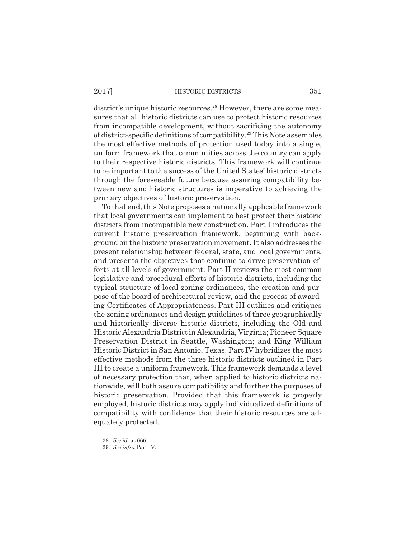district's unique historic resources.<sup>28</sup> However, there are some measures that all historic districts can use to protect historic resources from incompatible development, without sacrificing the autonomy of district-specific definitions of compatibility.29 This Note assembles the most effective methods of protection used today into a single, uniform framework that communities across the country can apply to their respective historic districts. This framework will continue to be important to the success of the United States' historic districts through the foreseeable future because assuring compatibility between new and historic structures is imperative to achieving the primary objectives of historic preservation.

To that end, this Note proposes a nationally applicable framework that local governments can implement to best protect their historic districts from incompatible new construction. Part I introduces the current historic preservation framework, beginning with background on the historic preservation movement. It also addresses the present relationship between federal, state, and local governments, and presents the objectives that continue to drive preservation efforts at all levels of government. Part II reviews the most common legislative and procedural efforts of historic districts, including the typical structure of local zoning ordinances, the creation and purpose of the board of architectural review, and the process of awarding Certificates of Appropriateness. Part III outlines and critiques the zoning ordinances and design guidelines of three geographically and historically diverse historic districts, including the Old and Historic Alexandria District in Alexandria, Virginia; Pioneer Square Preservation District in Seattle, Washington; and King William Historic District in San Antonio, Texas. Part IV hybridizes the most effective methods from the three historic districts outlined in Part III to create a uniform framework. This framework demands a level of necessary protection that, when applied to historic districts nationwide, will both assure compatibility and further the purposes of historic preservation. Provided that this framework is properly employed, historic districts may apply individualized definitions of compatibility with confidence that their historic resources are adequately protected.

<sup>28.</sup> *See id.* at 666.

<sup>29.</sup> *See infra* Part IV.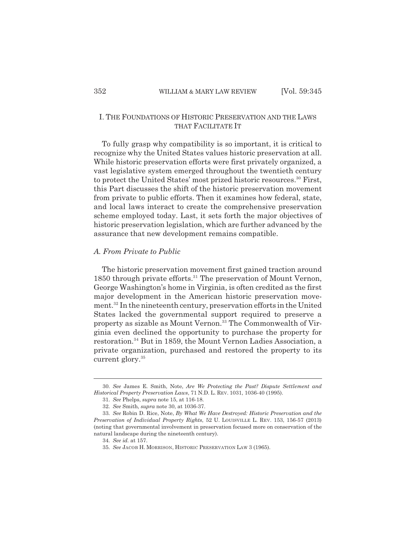# I. THE FOUNDATIONS OF HISTORIC PRESERVATION AND THE LAWS THAT FACILITATE IT

To fully grasp why compatibility is so important, it is critical to recognize why the United States values historic preservation at all. While historic preservation efforts were first privately organized, a vast legislative system emerged throughout the twentieth century to protect the United States' most prized historic resources.<sup>30</sup> First, this Part discusses the shift of the historic preservation movement from private to public efforts. Then it examines how federal, state, and local laws interact to create the comprehensive preservation scheme employed today. Last, it sets forth the major objectives of historic preservation legislation, which are further advanced by the assurance that new development remains compatible.

# *A. From Private to Public*

The historic preservation movement first gained traction around 1850 through private efforts.<sup>31</sup> The preservation of Mount Vernon, George Washington's home in Virginia, is often credited as the first major development in the American historic preservation movement.32 In the nineteenth century, preservation efforts in the United States lacked the governmental support required to preserve a property as sizable as Mount Vernon.<sup>33</sup> The Commonwealth of Virginia even declined the opportunity to purchase the property for restoration.<sup>34</sup> But in 1859, the Mount Vernon Ladies Association, a private organization, purchased and restored the property to its current glory.<sup>35</sup>

<sup>30.</sup> *See* James E. Smith, Note, *Are We Protecting the Past? Dispute Settlement and Historical Property Preservation Laws*, 71 N.D. L. REV. 1031, 1036-40 (1995).

<sup>31.</sup> *See* Phelps, *supra* note 15, at 116-18.

<sup>32.</sup> *See* Smith, *supra* note 30, at 1036-37.

<sup>33.</sup> *See* Robin D. Rice, Note, *By What We Have Destroyed: Historic Preservation and the Preservation of Individual Property Rights*, 52 U. LOUISVILLE L. REV. 153, 156-57 (2013) (noting that governmental involvement in preservation focused more on conservation of the natural landscape during the nineteenth century).

<sup>34.</sup> *See id.* at 157.

<sup>35.</sup> *See* JACOB H. MORRISON, HISTORIC PRESERVATION LAW 3 (1965).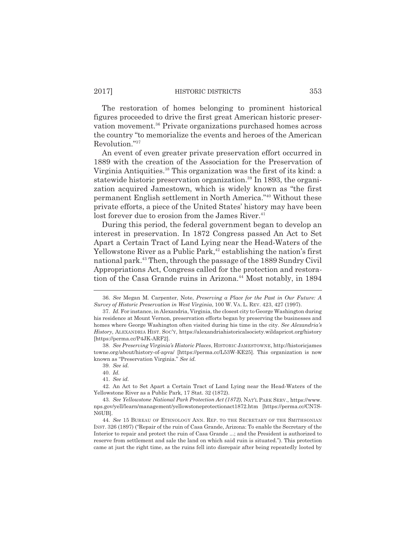The restoration of homes belonging to prominent historical figures proceeded to drive the first great American historic preservation movement.<sup>36</sup> Private organizations purchased homes across the country "to memorialize the events and heroes of the American Revolution."37

An event of even greater private preservation effort occurred in 1889 with the creation of the Association for the Preservation of Virginia Antiquities.38 This organization was the first of its kind: a statewide historic preservation organization.<sup>39</sup> In 1893, the organization acquired Jamestown, which is widely known as "the first permanent English settlement in North America."40 Without these private efforts, a piece of the United States' history may have been lost forever due to erosion from the James River.<sup>41</sup>

During this period, the federal government began to develop an interest in preservation. In 1872 Congress passed An Act to Set Apart a Certain Tract of Land Lying near the Head-Waters of the Yellowstone River as a Public Park,<sup>42</sup> establishing the nation's first national park.43 Then, through the passage of the 1889 Sundry Civil Appropriations Act, Congress called for the protection and restoration of the Casa Grande ruins in Arizona.<sup>44</sup> Most notably, in 1894

<sup>36.</sup> *See* Megan M. Carpenter, Note, *Preserving a Place for the Past in Our Future: A Survey of Historic Preservation in West Virginia*, 100 W. VA. L. REV. 423, 427 (1997).

<sup>37.</sup> *Id.* For instance, in Alexandria, Virginia, the closest city to George Washington during his residence at Mount Vernon, preservation efforts began by preserving the businesses and homes where George Washington often visited during his time in the city. *See Alexandria's History*, ALEXANDRIA HIST. SOC'Y, https://alexandriahistoricalsociety.wildapricot.org/history [https://perma.cc/P4JK-ARF2].

<sup>38.</sup> *See Preserving Virginia's Historic Places*, HISTORIC JAMESTOWNE, http://historicjames towne.org/about/history-of-apva/ [https://perma.cc/L53W-KE25]. This organization is now known as "Preservation Virginia." *See id.* 

<sup>39.</sup> *See id.*

<sup>40.</sup> *Id.*

<sup>41.</sup> *See id.* 

<sup>42.</sup> An Act to Set Apart a Certain Tract of Land Lying near the Head-Waters of the Yellowstone River as a Public Park, 17 Stat. 32 (1872).

<sup>43.</sup> *See Yellowstone National Park Protection Act (1872)*, NAT'L PARK SERV., https://www. nps.gov/yell/learn/management/yellowstoneprotectionact1872.htm [https://perma.cc/CN7S-N6UB].

<sup>44.</sup> *See* 15 BUREAU OF ETHNOLOGY ANN. REP. TO THE SECRETARY OF THE SMITHSONIAN INST. 326 (1897) ("Repair of the ruin of Casa Grande, Arizona: To enable the Secretary of the Interior to repair and protect the ruin of Casa Grande ...; and the President is authorized to reserve from settlement and sale the land on which said ruin is situated."). This protection came at just the right time, as the ruins fell into disrepair after being repeatedly looted by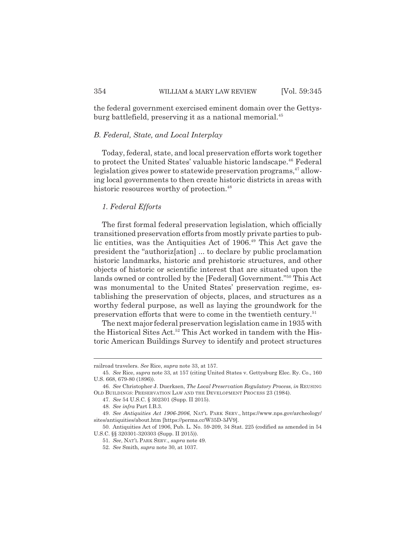the federal government exercised eminent domain over the Gettysburg battlefield, preserving it as a national memorial.<sup>45</sup>

# *B. Federal, State, and Local Interplay*

Today, federal, state, and local preservation efforts work together to protect the United States' valuable historic landscape.<sup>46</sup> Federal legislation gives power to statewide preservation programs, $47$  allowing local governments to then create historic districts in areas with historic resources worthy of protection.<sup>48</sup>

# *1. Federal Efforts*

The first formal federal preservation legislation, which officially transitioned preservation efforts from mostly private parties to public entities, was the Antiquities Act of 1906.<sup>49</sup> This Act gave the president the "authoriz[ation] ... to declare by public proclamation historic landmarks, historic and prehistoric structures, and other objects of historic or scientific interest that are situated upon the lands owned or controlled by the [Federal] Government."50 This Act was monumental to the United States' preservation regime, establishing the preservation of objects, places, and structures as a worthy federal purpose, as well as laying the groundwork for the preservation efforts that were to come in the twentieth century.<sup>51</sup>

The next major federal preservation legislation came in 1935 with the Historical Sites Act.<sup>52</sup> This Act worked in tandem with the Historic American Buildings Survey to identify and protect structures

railroad travelers. *See* Rice, *supra* note 33, at 157.

<sup>45.</sup> *See* Rice, *supra* note 33, at 157 (citing United States v. Gettysburg Elec. Ry. Co., 160 U.S. 668, 679-80 (1896)).

<sup>46.</sup> *See* Christopher J. Duerksen, *The Local Preservation Regulatory Process*, *in* REUSING OLD BUILDINGS: PRESERVATION LAW AND THE DEVELOPMENT PROCESS 23 (1984).

<sup>47.</sup> *See* 54 U.S.C. § 302301 (Supp. II 2015).

<sup>48.</sup> *See infra* Part I.B.3.

<sup>49.</sup> *See Antiquities Act 1906-2006*, NAT'L PARK SERV., https://www.nps.gov/archeology/ sites/antiquities/about.htm [https://perma.cc/W35D-3JV9].

<sup>50.</sup> Antiquities Act of 1906, Pub. L. No. 59-209, 34 Stat. 225 (codified as amended in 54 U.S.C. §§ 320301-320303 (Supp. II 2015)).

<sup>51.</sup> *See*, NAT'L PARK SERV., *supra* note 49.

<sup>52.</sup> *See* Smith, *supra* note 30, at 1037.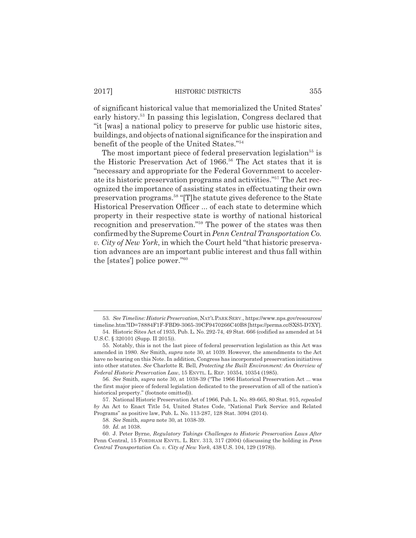of significant historical value that memorialized the United States' early history.53 In passing this legislation, Congress declared that "it [was] a national policy to preserve for public use historic sites, buildings, and objects of national significance for the inspiration and benefit of the people of the United States."54

The most important piece of federal preservation legislation<sup>55</sup> is the Historic Preservation Act of 1966.<sup>56</sup> The Act states that it is "necessary and appropriate for the Federal Government to accelerate its historic preservation programs and activities."57 The Act recognized the importance of assisting states in effectuating their own preservation programs.58 "[T]he statute gives deference to the State Historical Preservation Officer ... of each state to determine which property in their respective state is worthy of national historical recognition and preservation."59 The power of the states was then confirmed by the Supreme Court in *Penn Central Transportation Co. v. City of New York*, in which the Court held "that historic preservation advances are an important public interest and thus fall within the [states'] police power."60

<sup>53.</sup> *See Timeline: Historic Preservation*, NAT'L PARK SERV., https://www.nps.gov/resources/ timeline.htm?ID=78884F1F-FBD9-3065-39CF9470266C40B8 [https://perma.cc/SXS5-D7XY].

<sup>54.</sup> Historic Sites Act of 1935, Pub. L. No. 292-74, 49 Stat. 666 (codified as amended at 54 U.S.C. § 320101 (Supp. II 2015)).

<sup>55.</sup> Notably, this is not the last piece of federal preservation legislation as this Act was amended in 1980. *See* Smith, *supra* note 30, at 1039. However, the amendments to the Act have no bearing on this Note. In addition, Congress has incorporated preservation initiatives into other statutes. *See* Charlotte R. Bell, *Protecting the Built Environment: An Overview of Federal Historic Preservation Law*, 15 ENVTL. L. REP. 10354, 10354 (1985).

<sup>56.</sup> *See* Smith, *supra* note 30, at 1038-39 ("The 1966 Historical Preservation Act ... was the first major piece of federal legislation dedicated to the preservation of all of the nation's historical property." (footnote omitted)).

<sup>57.</sup> National Historic Preservation Act of 1966, Pub. L. No. 89-665, 80 Stat. 915, *repealed by* An Act to Enact Title 54, United States Code, "National Park Service and Related Programs" as positive law, Pub. L. No. 113-287, 128 Stat. 3094 (2014).

<sup>58.</sup> *See* Smith, *supra* note 30, at 1038-39.

<sup>59.</sup> *Id.* at 1038.

<sup>60.</sup> J. Peter Byrne, *Regulatory Takings Challenges to Historic Preservation Laws After* Penn Central, 15 FORDHAM ENVTL. L. REV. 313, 317 (2004) (discussing the holding in *Penn Central Transportation Co. v. City of New York*, 438 U.S. 104, 129 (1978)).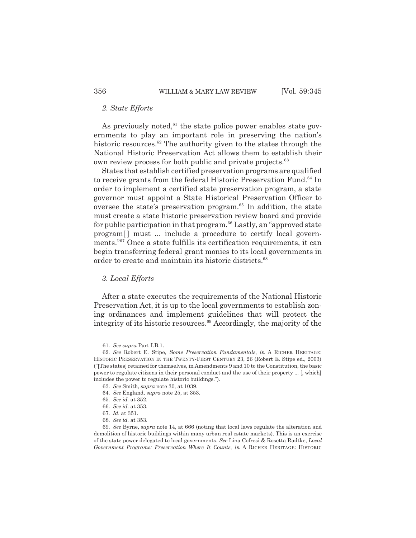# *2. State Efforts*

As previously noted, $61$  the state police power enables state governments to play an important role in preserving the nation's historic resources. $62$  The authority given to the states through the National Historic Preservation Act allows them to establish their own review process for both public and private projects.<sup>63</sup>

States that establish certified preservation programs are qualified to receive grants from the federal Historic Preservation Fund.<sup>64</sup> In order to implement a certified state preservation program, a state governor must appoint a State Historical Preservation Officer to oversee the state's preservation program.<sup>65</sup> In addition, the state must create a state historic preservation review board and provide for public participation in that program.<sup>66</sup> Lastly, an "approved state program<sup>[]</sup> must ... include a procedure to certify local governments."67 Once a state fulfills its certification requirements, it can begin transferring federal grant monies to its local governments in order to create and maintain its historic districts.<sup>68</sup>

# *3. Local Efforts*

After a state executes the requirements of the National Historic Preservation Act, it is up to the local governments to establish zoning ordinances and implement guidelines that will protect the integrity of its historic resources.<sup>69</sup> Accordingly, the majority of the

<sup>61.</sup> *See supra* Part I.B.1.

<sup>62.</sup> *See* Robert E. Stipe, *Some Preservation Fundamentals*, *in* A RICHER HERITAGE: HISTORIC PRESERVATION IN THE TWENTY-FIRST CENTURY 23, 26 (Robert E. Stipe ed., 2003) ("[The states] retained for themselves, in Amendments 9 and 10 to the Constitution, the basic power to regulate citizens in their personal conduct and the use of their property ... [, which] includes the power to regulate historic buildings.").

<sup>63.</sup> *See* Smith, *supra* note 30, at 1039.

<sup>64.</sup> *See* England, *supra* note 25, at 353.

<sup>65.</sup> *See id.* at 352.

<sup>66.</sup> *See id.* at 353.

<sup>67.</sup> *Id.* at 351.

<sup>68.</sup> *See id.* at 353.

<sup>69.</sup> *See* Byrne, *supra* note 14, at 666 (noting that local laws regulate the alteration and demolition of historic buildings within many urban real estate markets). This is an exercise of the state power delegated to local governments. *See* Lina Cofresi & Rosetta Radtke, *Local Government Programs: Preservation Where It Counts*, *in* A RICHER HERITAGE: HISTORIC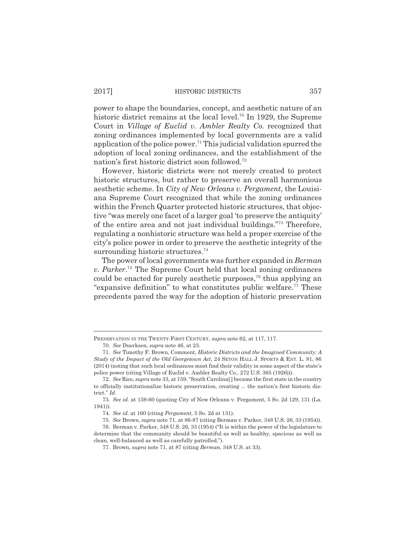power to shape the boundaries, concept, and aesthetic nature of an historic district remains at the local level.<sup>70</sup> In 1929, the Supreme Court in *Village of Euclid v. Ambler Realty Co.* recognized that zoning ordinances implemented by local governments are a valid application of the police power.<sup>71</sup> This judicial validation spurred the adoption of local zoning ordinances, and the establishment of the nation's first historic district soon followed.72

However, historic districts were not merely created to protect historic structures, but rather to preserve an overall harmonious aesthetic scheme. In *City of New Orleans v. Pergament*, the Louisiana Supreme Court recognized that while the zoning ordinances within the French Quarter protected historic structures, that objective "was merely one facet of a larger goal 'to preserve the antiquity' of the entire area and not just individual buildings."73 Therefore, regulating a nonhistoric structure was held a proper exercise of the city's police power in order to preserve the aesthetic integrity of the surrounding historic structures.<sup>74</sup>

The power of local governments was further expanded in *Berman v. Parker*. 75 The Supreme Court held that local zoning ordinances could be enacted for purely aesthetic purposes,<sup>76</sup> thus applying an "expansive definition" to what constitutes public welfare.<sup>77</sup> These precedents paved the way for the adoption of historic preservation

PRESERVATION IN THE TWENTY-FIRST CENTURY, *supra* note 62, at 117, 117.

<sup>70.</sup> *See* Duerksen, *supra* note 46, at 23.

<sup>71.</sup> *See* Timothy F. Brown, Comment, *Historic Districts and the Imagined Community: A Study of the Impact of the Old Georgetown Act*, 24 SETON HALL J. SPORTS & ENT. L. 81, 86 (2014) (noting that such local ordinances must find their validity in some aspect of the state's police power (citing Village of Euclid v. Ambler Realty Co., 272 U.S. 365 (1926))).

<sup>72.</sup> *See* Rice, *supra* note 33, at 159. "South Carolina[ ] became the first state in the country to officially institutionalize historic preservation, creating ... the nation's first historic district." *Id.*

<sup>73.</sup> *See id.* at 159-60 (quoting City of New Orleans v. Pergament, 5 So. 2d 129, 131 (La. 1941)).

<sup>74.</sup> *See id.* at 160 (citing *Pergament*, 5 So. 2d at 131).

<sup>75.</sup> *See* Brown, *supra* note 71, at 86-87 (citing Berman v. Parker, 348 U.S. 26, 33 (1954)).

<sup>76.</sup> Berman v. Parker, 348 U.S. 26, 33 (1954) ("It is within the power of the legislature to determine that the community should be beautiful as well as healthy, spacious as well as clean, well-balanced as well as carefully patrolled.").

<sup>77.</sup> Brown, *supra* note 71, at 87 (citing *Berman*, 348 U.S. at 33).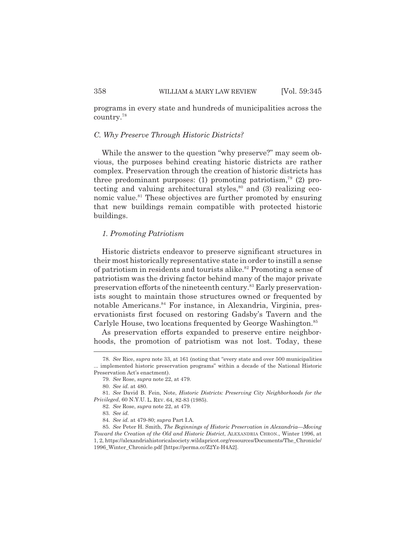programs in every state and hundreds of municipalities across the country.78

# *C. Why Preserve Through Historic Districts?*

While the answer to the question "why preserve?" may seem obvious, the purposes behind creating historic districts are rather complex. Preservation through the creation of historic districts has three predominant purposes: (1) promoting patriotism,<sup>79</sup> (2) protecting and valuing architectural styles, $80$  and (3) realizing economic value.<sup>81</sup> These objectives are further promoted by ensuring that new buildings remain compatible with protected historic buildings.

## *1. Promoting Patriotism*

Historic districts endeavor to preserve significant structures in their most historically representative state in order to instill a sense of patriotism in residents and tourists alike.<sup>82</sup> Promoting a sense of patriotism was the driving factor behind many of the major private preservation efforts of the nineteenth century.<sup>83</sup> Early preservationists sought to maintain those structures owned or frequented by notable Americans.<sup>84</sup> For instance, in Alexandria, Virginia, preservationists first focused on restoring Gadsby's Tavern and the Carlyle House, two locations frequented by George Washington.<sup>85</sup>

As preservation efforts expanded to preserve entire neighborhoods, the promotion of patriotism was not lost. Today, these

<sup>78.</sup> *See* Rice, *supra* note 33, at 161 (noting that "every state and over 500 municipalities ... implemented historic preservation programs" within a decade of the National Historic Preservation Act's enactment).

<sup>79.</sup> *See* Rose, *supra* note 22, at 479.

<sup>80.</sup> *See id.* at 480.

<sup>81.</sup> *See* David B. Fein, Note, *Historic Districts: Preserving City Neighborhoods for the Privileged*, 60 N.Y.U. L. REV. 64, 82-83 (1985).

<sup>82.</sup> *See* Rose, *supra* note 22, at 479.

<sup>83.</sup> *See id.*

<sup>84.</sup> *See id.* at 479-80; *supra* Part I.A.

<sup>85.</sup> *See* Peter H. Smith, *The Beginnings of Historic Preservation in Alexandria—Moving Toward the Creation of the Old and Historic District*, ALEXANDRIA CHRON., Winter 1996, at 1, 2, https://alexandriahistoricalsociety.wildapricot.org/resources/Documents/The\_Chronicle/ 1996\_Winter\_Chronicle.pdf [https://perma.cc/Z2Yz-H4A2].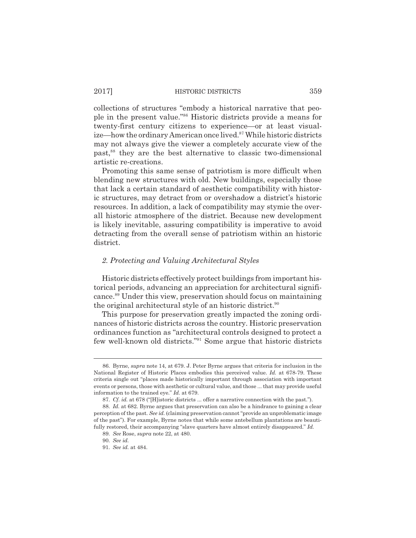collections of structures "embody a historical narrative that people in the present value."86 Historic districts provide a means for twenty-first century citizens to experience—or at least visualize—how the ordinary American once lived.<sup>87</sup> While historic districts may not always give the viewer a completely accurate view of the past,88 they are the best alternative to classic two-dimensional artistic re-creations.

Promoting this same sense of patriotism is more difficult when blending new structures with old. New buildings, especially those that lack a certain standard of aesthetic compatibility with historic structures, may detract from or overshadow a district's historic resources. In addition, a lack of compatibility may stymie the overall historic atmosphere of the district. Because new development is likely inevitable, assuring compatibility is imperative to avoid detracting from the overall sense of patriotism within an historic district.

## *2. Protecting and Valuing Architectural Styles*

Historic districts effectively protect buildings from important historical periods, advancing an appreciation for architectural significance.89 Under this view, preservation should focus on maintaining the original architectural style of an historic district.<sup>90</sup>

This purpose for preservation greatly impacted the zoning ordinances of historic districts across the country. Historic preservation ordinances function as "architectural controls designed to protect a few well-known old districts."91 Some argue that historic districts

<sup>86.</sup> Byrne, *supra* note 14, at 679. J. Peter Byrne argues that criteria for inclusion in the National Register of Historic Places embodies this perceived value. *Id.* at 678-79. These criteria single out "places made historically important through association with important events or persons, those with aesthetic or cultural value, and those ... that may provide useful information to the trained eye." *Id.* at 679.

<sup>87.</sup> *Cf. id.* at 678 ("[H]istoric districts ... offer a narrative connection with the past.").

<sup>88.</sup> *Id.* at 682. Byrne argues that preservation can also be a hindrance to gaining a clear perception of the past. *See id.* (claiming preservation cannot "provide an unproblematic image of the past"). For example, Byrne notes that while some antebellum plantations are beautifully restored, their accompanying "slave quarters have almost entirely disappeared." *Id.*

<sup>89.</sup> *See* Rose, *supra* note 22, at 480.

<sup>90.</sup> *See id.*

<sup>91.</sup> *See id.* at 484.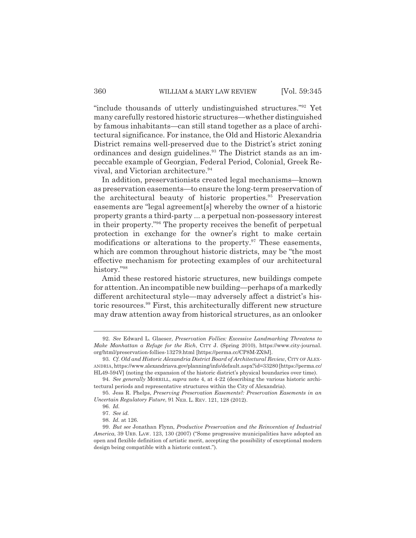"include thousands of utterly undistinguished structures."92 Yet many carefully restored historic structures—whether distinguished by famous inhabitants—can still stand together as a place of architectural significance. For instance, the Old and Historic Alexandria District remains well-preserved due to the District's strict zoning ordinances and design guidelines.<sup>93</sup> The District stands as an impeccable example of Georgian, Federal Period, Colonial, Greek Revival, and Victorian architecture.<sup>94</sup>

In addition, preservationists created legal mechanisms—known as preservation easements—to ensure the long-term preservation of the architectural beauty of historic properties.<sup>95</sup> Preservation easements are "legal agreement[s] whereby the owner of a historic property grants a third-party ... a perpetual non-possessory interest in their property."96 The property receives the benefit of perpetual protection in exchange for the owner's right to make certain modifications or alterations to the property. $97$  These easements, which are common throughout historic districts, may be "the most effective mechanism for protecting examples of our architectural history."98

Amid these restored historic structures, new buildings compete for attention. An incompatible new building—perhaps of a markedly different architectural style—may adversely affect a district's historic resources.99 First, this architecturally different new structure may draw attention away from historical structures, as an onlooker

<sup>92.</sup> *See* Edward L. Glaeser, *Preservation Follies: Excessive Landmarking Threatens to Make Manhattan a Refuge for the Rich*, CITY J. (Spring 2010), https://www.city-journal. org/html/preservation-follies-13279.html [https://perma.cc/CP8M-ZX9J].

<sup>93.</sup> *Cf. Old and Historic Alexandria District Board of Architectural Review*, CITY OF ALEX-ANDRIA, https://www.alexandriava.gov/planning/info/default.aspx?id=33280 [https://perma.cc/ HL49-594V] (noting the expansion of the historic district's physical boundaries over time).

<sup>94.</sup> *See generally* MORRILL, *supra* note 4, at 4-22 (describing the various historic architectural periods and representative structures within the City of Alexandria).

<sup>95.</sup> Jess R. Phelps, *Preserving Preservation Easements?: Preservation Easements in an Uncertain Regulatory Future*, 91 NEB. L. REV. 121, 128 (2012).

<sup>96.</sup> *Id.*

<sup>97.</sup> *See id.*

<sup>98.</sup> *Id.* at 126.

<sup>99.</sup> *But see* Jonathan Flynn, *Productive Preservation and the Reinvention of Industrial America*, 39 URB. LAW. 123, 130 (2007) ("Some progressive municipalities have adopted an open and flexible definition of artistic merit, accepting the possibility of exceptional modern design being compatible with a historic context.").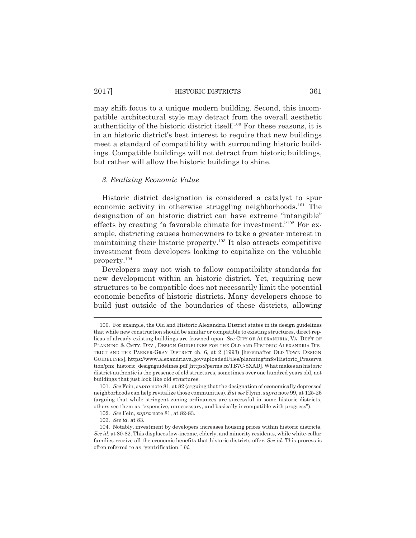may shift focus to a unique modern building. Second, this incompatible architectural style may detract from the overall aesthetic authenticity of the historic district itself.100 For these reasons, it is in an historic district's best interest to require that new buildings meet a standard of compatibility with surrounding historic buildings. Compatible buildings will not detract from historic buildings, but rather will allow the historic buildings to shine.

## *3. Realizing Economic Value*

Historic district designation is considered a catalyst to spur economic activity in otherwise struggling neighborhoods.<sup>101</sup> The designation of an historic district can have extreme "intangible" effects by creating "a favorable climate for investment."102 For example, districting causes homeowners to take a greater interest in maintaining their historic property.<sup>103</sup> It also attracts competitive investment from developers looking to capitalize on the valuable property.104

Developers may not wish to follow compatibility standards for new development within an historic district. Yet, requiring new structures to be compatible does not necessarily limit the potential economic benefits of historic districts. Many developers choose to build just outside of the boundaries of these districts, allowing

<sup>100.</sup> For example, the Old and Historic Alexandria District states in its design guidelines that while new construction should be similar or compatible to existing structures, direct replicas of already existing buildings are frowned upon. *See* CITY OF ALEXANDRIA, VA. DEP'T OF PLANNING & CMTY. DEV., DESIGN GUIDELINES FOR THE OLD AND HISTORIC ALEXANDRIA DIS-TRICT AND THE PARKER-GRAY DISTRICT ch. 6, at 2 (1993) [hereinafter OLD TOWN DESIGN GUIDELINES], https://www.alexandriava.gov/uploadedFiles/planning/info/Historic\_Preserva tion/pnz\_historic\_designguidelines.pdf [https://perma.cc/TB7C-8XAD]. What makes an historic district authentic is the presence of old structures, sometimes over one hundred years old, not buildings that just look like old structures.

<sup>101.</sup> *See* Fein, *supra* note 81, at 82 (arguing that the designation of economically depressed neighborhoods can help revitalize those communities). *But see* Flynn, *supra* note 99, at 125-26 (arguing that while stringent zoning ordinances are successful in some historic districts, others see them as "expensive, unnecessary, and basically incompatible with progress").

<sup>102.</sup> *See* Fein, *supra* note 81, at 82-83.

<sup>103.</sup> *See id.* at 83.

<sup>104.</sup> Notably, investment by developers increases housing prices within historic districts. *See id.* at 80-82. This displaces low-income, elderly, and minority residents, while white-collar families receive all the economic benefits that historic districts offer. *See id.* This process is often referred to as "gentrification." *Id.*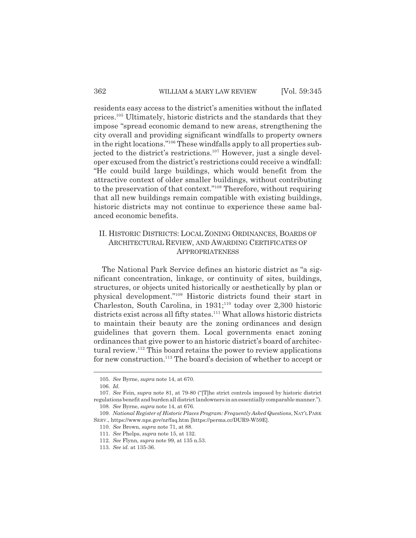residents easy access to the district's amenities without the inflated prices.105 Ultimately, historic districts and the standards that they impose "spread economic demand to new areas, strengthening the city overall and providing significant windfalls to property owners in the right locations."106 These windfalls apply to all properties subjected to the district's restrictions.<sup>107</sup> However, just a single developer excused from the district's restrictions could receive a windfall: "He could build large buildings, which would benefit from the attractive context of older smaller buildings, without contributing to the preservation of that context."108 Therefore, without requiring that all new buildings remain compatible with existing buildings, historic districts may not continue to experience these same balanced economic benefits.

# II. HISTORIC DISTRICTS: LOCAL ZONING ORDINANCES, BOARDS OF ARCHITECTURAL REVIEW, AND AWARDING CERTIFICATES OF APPROPRIATENESS

The National Park Service defines an historic district as "a significant concentration, linkage, or continuity of sites, buildings, structures, or objects united historically or aesthetically by plan or physical development."109 Historic districts found their start in Charleston, South Carolina, in  $1931;^{110}$  today over 2,300 historic districts exist across all fifty states.<sup>111</sup> What allows historic districts to maintain their beauty are the zoning ordinances and design guidelines that govern them. Local governments enact zoning ordinances that give power to an historic district's board of architectural review.112 This board retains the power to review applications for new construction.<sup>113</sup> The board's decision of whether to accept or

<sup>105.</sup> *See* Byrne, *supra* note 14, at 670.

<sup>106.</sup> *Id.*

<sup>107.</sup> *See* Fein, *supra* note 81, at 79-80 ("[T]he strict controls imposed by historic district regulations benefit and burden all district landowners in an essentially comparable manner."). 108. *See* Byrne, *supra* note 14, at 676.

<sup>109.</sup> *National Register of Historic Places Program: Frequently Asked Questions*, NAT'L PARK SERV., https://www.nps.gov/nr/faq.htm [https://perma.cc/DUR9-W59E].

<sup>110.</sup> *See* Brown, *supra* note 71, at 88.

<sup>111.</sup> *See* Phelps, *supra* note 15, at 132.

<sup>112.</sup> *See* Flynn, *supra* note 99, at 135 n.53.

<sup>113.</sup> *See id.* at 135-36.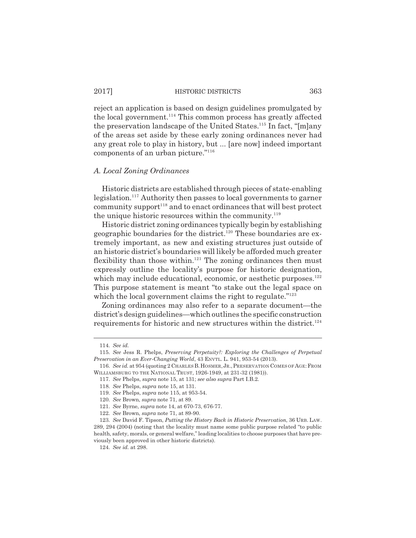reject an application is based on design guidelines promulgated by the local government.<sup>114</sup> This common process has greatly affected the preservation landscape of the United States.115 In fact, "[m]any of the areas set aside by these early zoning ordinances never had any great role to play in history, but ... [are now] indeed important components of an urban picture."116

#### *A. Local Zoning Ordinances*

Historic districts are established through pieces of state-enabling legislation.<sup>117</sup> Authority then passes to local governments to garner  $community support<sup>118</sup>$  and to enact ordinances that will best protect the unique historic resources within the community. $119$ 

Historic district zoning ordinances typically begin by establishing geographic boundaries for the district.<sup>120</sup> These boundaries are extremely important, as new and existing structures just outside of an historic district's boundaries will likely be afforded much greater flexibility than those within.<sup>121</sup> The zoning ordinances then must expressly outline the locality's purpose for historic designation, which may include educational, economic, or aesthetic purposes. $122$ This purpose statement is meant "to stake out the legal space on which the local government claims the right to regulate."<sup>123</sup>

Zoning ordinances may also refer to a separate document—the district's design guidelines—which outlines the specific construction requirements for historic and new structures within the district.<sup>124</sup>

<sup>114.</sup> *See id.*

<sup>115.</sup> *See* Jess R. Phelps, *Preserving Perpetuity?: Exploring the Challenges of Perpetual Preservation in an Ever-Changing World*, 43 ENVTL. L. 941, 953-54 (2013).

<sup>116.</sup> *See id.* at 954 (quoting 2 CHARLES B.HOSMER,JR.,PRESERVATION COMES OF AGE:FROM WILLIAMSBURG TO THE NATIONAL TRUST, 1926-1949, at 231-32 (1981)).

<sup>117.</sup> *See* Phelps, *supra* note 15, at 131; *see also supra* Part I.B.2.

<sup>118.</sup> *See* Phelps, *supra* note 15, at 131.

<sup>119.</sup> *See* Phelps, *supra* note 115, at 953-54.

<sup>120.</sup> *See* Brown, *supra* note 71, at 89.

<sup>121.</sup> *See* Byrne, *supra* note 14, at 670-73, 676-77.

<sup>122.</sup> *See* Brown, *supra* note 71, at 89-90.

<sup>123.</sup> *See* David F. Tipson, *Putting the History Back in Historic Preservation*, 36 URB. LAW. 289, 294 (2004) (noting that the locality must name some public purpose related "to public health, safety, morals, or general welfare," leading localities to choose purposes that have previously been approved in other historic districts).

<sup>124.</sup> *See id.* at 298.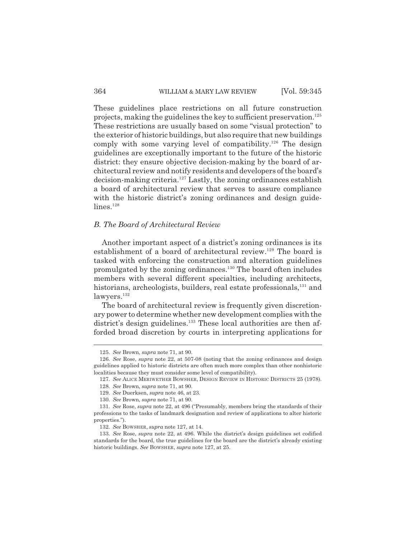These guidelines place restrictions on all future construction projects, making the guidelines the key to sufficient preservation.<sup>125</sup> These restrictions are usually based on some "visual protection" to the exterior of historic buildings, but also require that new buildings comply with some varying level of compatibility.<sup>126</sup> The design guidelines are exceptionally important to the future of the historic district: they ensure objective decision-making by the board of architectural review and notify residents and developers of the board's decision-making criteria.127 Lastly, the zoning ordinances establish a board of architectural review that serves to assure compliance with the historic district's zoning ordinances and design guidelines.<sup>128</sup>

# *B. The Board of Architectural Review*

Another important aspect of a district's zoning ordinances is its establishment of a board of architectural review.<sup>129</sup> The board is tasked with enforcing the construction and alteration guidelines promulgated by the zoning ordinances.130 The board often includes members with several different specialties, including architects, historians, archeologists, builders, real estate professionals,<sup>131</sup> and lawyers.<sup>132</sup>

The board of architectural review is frequently given discretionary power to determine whether new development complies with the district's design guidelines.<sup>133</sup> These local authorities are then afforded broad discretion by courts in interpreting applications for

<sup>125.</sup> *See* Brown, *supra* note 71, at 90.

<sup>126.</sup> *See* Rose, *supra* note 22, at 507-08 (noting that the zoning ordinances and design guidelines applied to historic districts are often much more complex than other nonhistoric localities because they must consider some level of compatibility).

<sup>127.</sup> *See* ALICE MERIWETHER BOWSHER, DESIGN REVIEW IN HISTORIC DISTRICTS 25 (1978).

<sup>128.</sup> *See* Brown, *supra* note 71, at 90.

<sup>129.</sup> *See* Duerksen, *supra* note 46, at 23.

<sup>130.</sup> *See* Brown, *supra* note 71, at 90.

<sup>131.</sup> *See* Rose, *supra* note 22, at 496 ("Presumably, members bring the standards of their professions to the tasks of landmark designation and review of applications to alter historic properties.").

<sup>132.</sup> *See* BOWSHER, *supra* note 127, at 14.

<sup>133.</sup> *See* Rose, *supra* note 22, at 496. While the district's design guidelines set codified standards for the board, the true guidelines for the board are the district's already existing historic buildings. *See* BOWSHER, *supra* note 127, at 25.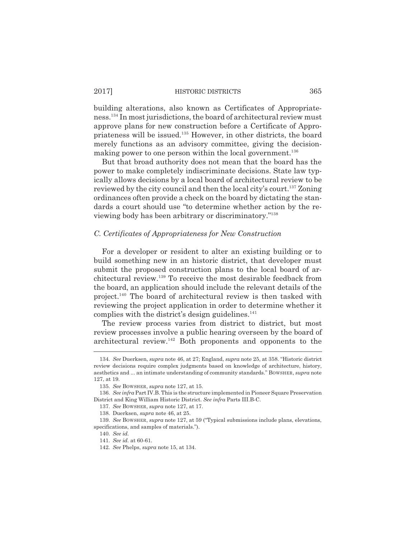building alterations, also known as Certificates of Appropriateness.134 In most jurisdictions, the board of architectural review must approve plans for new construction before a Certificate of Appropriateness will be issued.135 However, in other districts, the board merely functions as an advisory committee, giving the decisionmaking power to one person within the local government.<sup>136</sup>

But that broad authority does not mean that the board has the power to make completely indiscriminate decisions. State law typically allows decisions by a local board of architectural review to be reviewed by the city council and then the local city's court.<sup>137</sup> Zoning ordinances often provide a check on the board by dictating the standards a court should use "to determine whether action by the reviewing body has been arbitrary or discriminatory."138

#### *C. Certificates of Appropriateness for New Construction*

For a developer or resident to alter an existing building or to build something new in an historic district, that developer must submit the proposed construction plans to the local board of architectural review.139 To receive the most desirable feedback from the board, an application should include the relevant details of the project.140 The board of architectural review is then tasked with reviewing the project application in order to determine whether it complies with the district's design guidelines. $141$ 

The review process varies from district to district, but most review processes involve a public hearing overseen by the board of architectural review. $142$  Both proponents and opponents to the

<sup>134.</sup> *See* Duerksen, *supra* note 46, at 27; England, *supra* note 25, at 358. "Historic district review decisions require complex judgments based on knowledge of architecture, history, aesthetics and ... an intimate understanding of community standards." BOWSHER, *supra* note 127, at 19.

<sup>135.</sup> *See* BOWSHER, *supra* note 127, at 15.

<sup>136.</sup> *See infra* Part IV.B. This is the structure implemented in Pioneer Square Preservation District and King William Historic District. *See infra* Parts III.B-C.

<sup>137.</sup> *See* BOWSHER, *supra* note 127, at 17.

<sup>138.</sup> Duerksen, *supra* note 46, at 25.

<sup>139.</sup> *See* BOWSHER, *supra* note 127, at 59 ("Typical submissions include plans, elevations, specifications, and samples of materials.").

<sup>140.</sup> *See id.*

<sup>141.</sup> *See id.* at 60-61.

<sup>142.</sup> *See* Phelps, *supra* note 15, at 134.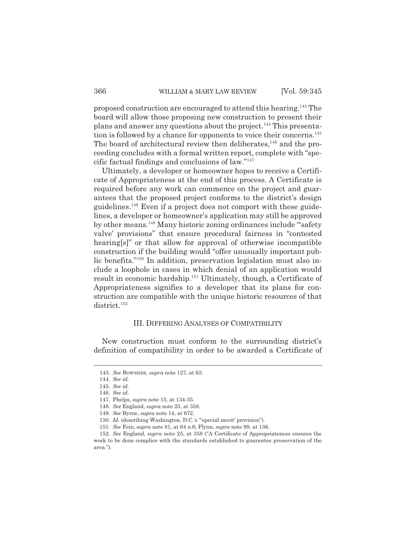proposed construction are encouraged to attend this hearing.143 The board will allow those proposing new construction to present their plans and answer any questions about the project.<sup>144</sup> This presentation is followed by a chance for opponents to voice their concerns.<sup>145</sup> The board of architectural review then deliberates, $146$  and the proceeding concludes with a formal written report, complete with "specific factual findings and conclusions of law."147

Ultimately, a developer or homeowner hopes to receive a Certificate of Appropriateness at the end of this process. A Certificate is required before any work can commence on the project and guarantees that the proposed project conforms to the district's design guidelines.148 Even if a project does not comport with these guidelines, a developer or homeowner's application may still be approved by other means.149 Many historic zoning ordinances include "'safety valve' provisions" that ensure procedural fairness in "contested hearing[s]" or that allow for approval of otherwise incompatible construction if the building would "offer unusually important public benefits."150 In addition, preservation legislation must also include a loophole in cases in which denial of an application would result in economic hardship.<sup>151</sup> Ultimately, though, a Certificate of Appropriateness signifies to a developer that its plans for construction are compatible with the unique historic resources of that district.<sup>152</sup>

### III. DIFFERING ANALYSES OF COMPATIBILITY

New construction must conform to the surrounding district's definition of compatibility in order to be awarded a Certificate of

<sup>143.</sup> *See* BOWSHER, *supra* note 127, at 63.

<sup>144.</sup> *See id.*

<sup>145.</sup> *See id.*

<sup>146.</sup> *See id.*

<sup>147.</sup> Phelps, *supra* note 15, at 134-35.

<sup>148.</sup> *See* England, *supra* note 25, at 358.

<sup>149.</sup> *See* Byrne, *supra* note 14, at 672.

<sup>150.</sup> *Id.* (describing Washington, D.C.'s "'special merit' provision").

<sup>151.</sup> *See* Fein, *supra* note 81, at 64 n.6; Flynn, *supra* note 99, at 136.

<sup>152.</sup> *See* England, *supra* note 25, at 358 ("A Certificate of Appropriateness ensures the work to be done complies with the standards established to guarantee preservation of the area.").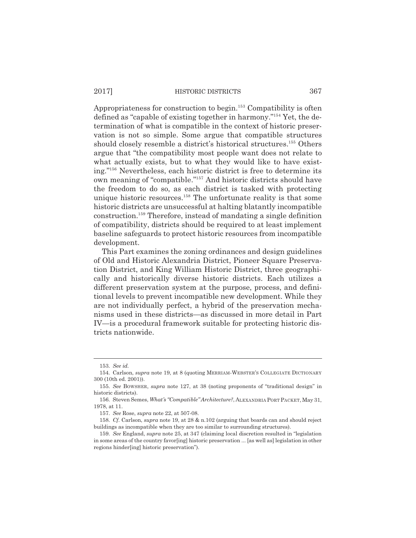Appropriateness for construction to begin.<sup>153</sup> Compatibility is often defined as "capable of existing together in harmony."154 Yet, the determination of what is compatible in the context of historic preservation is not so simple. Some argue that compatible structures should closely resemble a district's historical structures.<sup>155</sup> Others argue that "the compatibility most people want does not relate to what actually exists, but to what they would like to have existing."156 Nevertheless, each historic district is free to determine its own meaning of "compatible."157 And historic districts should have the freedom to do so, as each district is tasked with protecting unique historic resources.<sup>158</sup> The unfortunate reality is that some historic districts are unsuccessful at halting blatantly incompatible construction.159 Therefore, instead of mandating a single definition of compatibility, districts should be required to at least implement baseline safeguards to protect historic resources from incompatible development.

This Part examines the zoning ordinances and design guidelines of Old and Historic Alexandria District, Pioneer Square Preservation District, and King William Historic District, three geographically and historically diverse historic districts. Each utilizes a different preservation system at the purpose, process, and definitional levels to prevent incompatible new development. While they are not individually perfect, a hybrid of the preservation mechanisms used in these districts—as discussed in more detail in Part IV—is a procedural framework suitable for protecting historic districts nationwide.

<sup>153.</sup> *See id.*

<sup>154.</sup> Carlson, *supra* note 19, at 8 (quoting MERRIAM-WEBSTER'S COLLEGIATE DICTIONARY 300 (10th ed. 2001)).

<sup>155.</sup> *See* BOWSHER, *supra* note 127, at 38 (noting proponents of "traditional design" in historic districts).

<sup>156.</sup> Steven Semes, *What's "Compatible" Architecture?*, ALEXANDRIA PORT PACKET, May 31, 1978, at 11.

<sup>157.</sup> *See* Rose, *supra* note 22, at 507-08.

<sup>158.</sup> *Cf.* Carlson, *supra* note 19, at 28 & n.102 (arguing that boards can and should reject buildings as incompatible when they are too similar to surrounding structures).

<sup>159.</sup> *See* England, *supra* note 25, at 347 (claiming local discretion resulted in "legislation in some areas of the country favor[ing] historic preservation ... [as well as] legislation in other regions hinder[ing] historic preservation").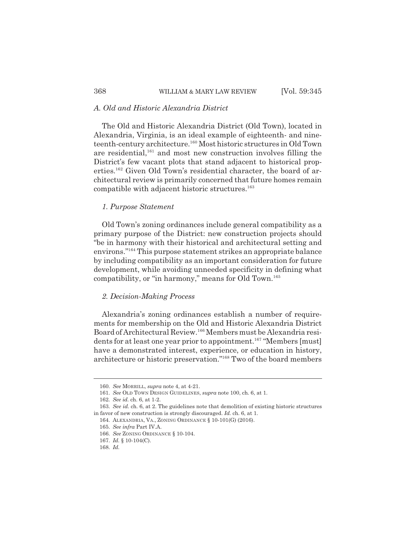# *A. Old and Historic Alexandria District*

The Old and Historic Alexandria District (Old Town), located in Alexandria, Virginia, is an ideal example of eighteenth- and nineteenth-century architecture.160 Most historic structures in Old Town are residential, $161$  and most new construction involves filling the District's few vacant plots that stand adjacent to historical properties.<sup>162</sup> Given Old Town's residential character, the board of architectural review is primarily concerned that future homes remain compatible with adjacent historic structures.<sup>163</sup>

## *1. Purpose Statement*

Old Town's zoning ordinances include general compatibility as a primary purpose of the District: new construction projects should "be in harmony with their historical and architectural setting and environs."164 This purpose statement strikes an appropriate balance by including compatibility as an important consideration for future development, while avoiding unneeded specificity in defining what compatibility, or "in harmony," means for Old Town.<sup>165</sup>

#### *2. Decision-Making Process*

Alexandria's zoning ordinances establish a number of requirements for membership on the Old and Historic Alexandria District Board of Architectural Review.166 Members must be Alexandria residents for at least one year prior to appointment.<sup>167</sup> "Members [must] have a demonstrated interest, experience, or education in history, architecture or historic preservation."168 Two of the board members

<sup>160.</sup> *See* MORRILL, *supra* note 4, at 4-21.

<sup>161.</sup> *See* OLD TOWN DESIGN GUIDELINES, *supra* note 100, ch. 6, at 1.

<sup>162.</sup> *See id.* ch. 6, at 1-2.

<sup>163.</sup> *See id.* ch. 6, at 2. The guidelines note that demolition of existing historic structures in favor of new construction is strongly discouraged. *Id.* ch. 6, at 1.

<sup>164.</sup> ALEXANDRIA, VA., ZONING ORDINANCE § 10-101(G) (2016).

<sup>165.</sup> *See infra* Part IV.A.

<sup>166.</sup> *See* ZONING ORDINANCE § 10-104.

<sup>167.</sup> *Id.* § 10-104(C).

<sup>168.</sup> *Id.*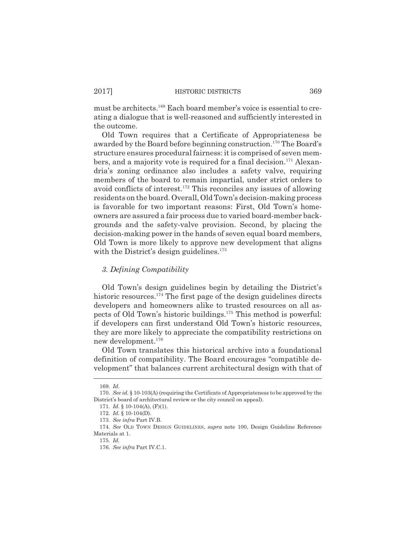must be architects.<sup>169</sup> Each board member's voice is essential to creating a dialogue that is well-reasoned and sufficiently interested in the outcome.

Old Town requires that a Certificate of Appropriateness be awarded by the Board before beginning construction.<sup>170</sup> The Board's structure ensures procedural fairness: it is comprised of seven members, and a majority vote is required for a final decision.<sup>171</sup> Alexandria's zoning ordinance also includes a safety valve, requiring members of the board to remain impartial, under strict orders to avoid conflicts of interest.172 This reconciles any issues of allowing residents on the board. Overall, Old Town's decision-making process is favorable for two important reasons: First, Old Town's homeowners are assured a fair process due to varied board-member backgrounds and the safety-valve provision. Second, by placing the decision-making power in the hands of seven equal board members, Old Town is more likely to approve new development that aligns with the District's design guidelines.<sup>173</sup>

# *3. Defining Compatibility*

Old Town's design guidelines begin by detailing the District's historic resources.<sup>174</sup> The first page of the design guidelines directs developers and homeowners alike to trusted resources on all aspects of Old Town's historic buildings.175 This method is powerful: if developers can first understand Old Town's historic resources, they are more likely to appreciate the compatibility restrictions on new development.176

Old Town translates this historical archive into a foundational definition of compatibility. The Board encourages "compatible development" that balances current architectural design with that of

<sup>169.</sup> *Id.*

<sup>170.</sup> *See id.* § 10-103(A) (requiring the Certificate of Appropriateness to be approved by the District's board of architectural review or the city council on appeal).

<sup>171.</sup> *Id.* § 10-104(A), (F)(1).

<sup>172.</sup> *Id.* § 10-104(D).

<sup>173.</sup> *See infra* Part IV.B.

<sup>174.</sup> *See* OLD TOWN DESIGN GUIDELINES, *supra* note 100, Design Guideline Reference Materials at 1.

<sup>175.</sup> *Id.*

<sup>176.</sup> *See infra* Part IV.C.1.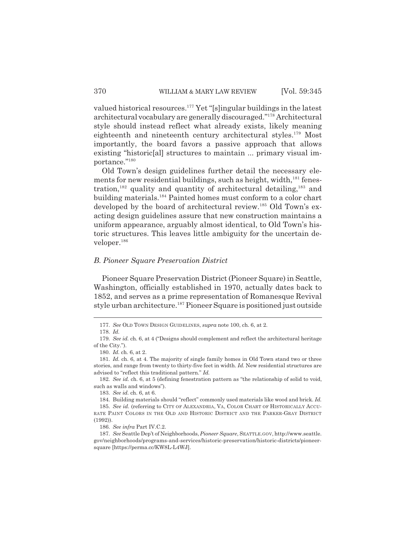valued historical resources.177 Yet "[s]ingular buildings in the latest architectural vocabulary are generally discouraged."178 Architectural style should instead reflect what already exists, likely meaning eighteenth and nineteenth century architectural styles.<sup>179</sup> Most importantly, the board favors a passive approach that allows existing "historic[al] structures to maintain ... primary visual importance."180

Old Town's design guidelines further detail the necessary elements for new residential buildings, such as height, width, $^{181}$  fenestration,<sup>182</sup> quality and quantity of architectural detailing, $183$  and building materials.184 Painted homes must conform to a color chart developed by the board of architectural review.<sup>185</sup> Old Town's exacting design guidelines assure that new construction maintains a uniform appearance, arguably almost identical, to Old Town's historic structures. This leaves little ambiguity for the uncertain developer.<sup>186</sup>

# *B. Pioneer Square Preservation District*

Pioneer Square Preservation District (Pioneer Square) in Seattle, Washington, officially established in 1970, actually dates back to 1852, and serves as a prime representation of Romanesque Revival style urban architecture.187 Pioneer Square is positioned just outside

<sup>177.</sup> *See* OLD TOWN DESIGN GUIDELINES, *supra* note 100, ch. 6, at 2.

<sup>178.</sup> *Id.*

<sup>179.</sup> *See id.* ch. 6, at 4 ("Designs should complement and reflect the architectural heritage of the City.").

<sup>180.</sup> *Id.* ch. 6, at 2.

<sup>181.</sup> *Id.* ch. 6, at 4. The majority of single family homes in Old Town stand two or three stories, and range from twenty to thirty-five feet in width. *Id.* New residential structures are advised to "reflect this traditional pattern." *Id.* 

<sup>182.</sup> *See id.* ch. 6, at 5 (defining fenestration pattern as "the relationship of solid to void, such as walls and windows").

<sup>183.</sup> *See id.* ch. 6, at 6.

<sup>184.</sup> Building materials should "reflect" commonly used materials like wood and brick. *Id.* 

<sup>185.</sup> *See id.* (referring to CITY OF ALEXANDRIA, VA, COLOR CHART OF HISTORICALLY ACCU-RATE PAINT COLORS IN THE OLD AND HISTORIC DISTRICT AND THE PARKER-GRAY DISTRICT (1992)).

<sup>186.</sup> *See infra* Part IV.C.2.

<sup>187.</sup> *See* Seattle Dep't of Neighborhoods, *Pioneer Square*, SEATTLE.GOV, http://www.seattle. gov/neighborhoods/programs-and-services/historic-preservation/historic-districts/pioneersquare [https://perma.cc/KW8L-L4WJ].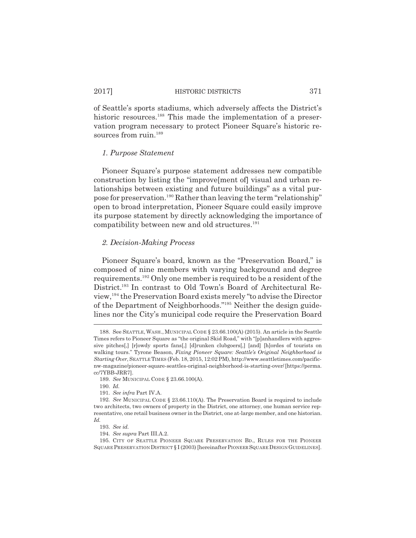of Seattle's sports stadiums, which adversely affects the District's historic resources.<sup>188</sup> This made the implementation of a preservation program necessary to protect Pioneer Square's historic resources from ruin.<sup>189</sup>

## *1. Purpose Statement*

Pioneer Square's purpose statement addresses new compatible construction by listing the "improve[ment of] visual and urban relationships between existing and future buildings" as a vital purpose for preservation.190 Rather than leaving the term "relationship" open to broad interpretation, Pioneer Square could easily improve its purpose statement by directly acknowledging the importance of compatibility between new and old structures.<sup>191</sup>

# *2. Decision-Making Process*

Pioneer Square's board, known as the "Preservation Board," is composed of nine members with varying background and degree requirements.192 Only one member is required to be a resident of the District.193 In contrast to Old Town's Board of Architectural Review,194 the Preservation Board exists merely "to advise the Director of the Department of Neighborhoods."195 Neither the design guidelines nor the City's municipal code require the Preservation Board

191. *See infra* Part IV.A.

<sup>188.</sup> See SEATTLE,WASH., MUNICIPAL CODE § 23.66.100(A) (2015). An article in the Seattle Times refers to Pioneer Square as "the original Skid Road," with "[p]anhandlers with aggressive pitches[,] [r]owdy sports fans[,] [d]runken clubgoers[,] [and] [h]ordes of tourists on walking tours." Tyrone Beason, *Fixing Pioneer Square: Seattle's Original Neighborhood is Starting Over*, SEATTLE TIMES (Feb. 18, 2015, 12:02 PM), http://www.seattletimes.com/pacificnw-magazine/pioneer-square-seattles-original-neighborhood-is-starting-over/ [https://perma. cc/7YBB-JRR7].

<sup>189.</sup> *See* MUNICIPAL CODE § 23.66.100(A).

<sup>190.</sup> *Id.*

<sup>192.</sup> *See* MUNICIPAL CODE § 23.66.110(A). The Preservation Board is required to include two architects, two owners of property in the District, one attorney, one human service representative, one retail business owner in the District, one at-large member, and one historian. *Id.*

<sup>193.</sup> *See id.*

<sup>194.</sup> *See supra* Part III.A.2.

<sup>195.</sup> CITY OF SEATTLE PIONEER SQUARE PRESERVATION BD., RULES FOR THE PIONEER SQUARE PRESERVATION DISTRICT § I (2003) [hereinafter PIONEER SQUARE DESIGN GUIDELINES].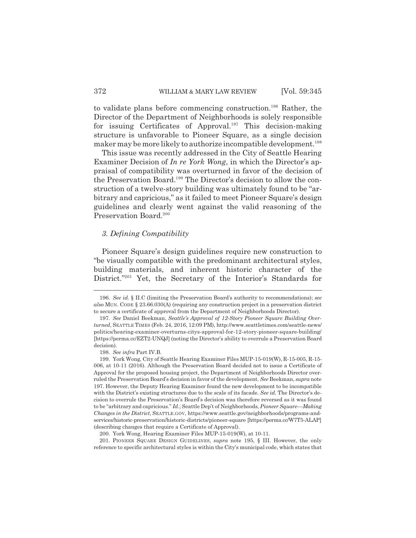to validate plans before commencing construction.<sup>196</sup> Rather, the Director of the Department of Neighborhoods is solely responsible for issuing Certificates of Approval.197 This decision-making structure is unfavorable to Pioneer Square, as a single decision maker may be more likely to authorize incompatible development.<sup>198</sup>

This issue was recently addressed in the City of Seattle Hearing Examiner Decision of *In re York Wong*, in which the Director's appraisal of compatibility was overturned in favor of the decision of the Preservation Board.<sup>199</sup> The Director's decision to allow the construction of a twelve-story building was ultimately found to be "arbitrary and capricious," as it failed to meet Pioneer Square's design guidelines and clearly went against the valid reasoning of the Preservation Board.<sup>200</sup>

## *3. Defining Compatibility*

Pioneer Square's design guidelines require new construction to "be visually compatible with the predominant architectural styles, building materials, and inherent historic character of the District."<sup>201</sup> Yet, the Secretary of the Interior's Standards for

198. *See infra* Part IV.B.

<sup>196.</sup> *See id.* § II.C (limiting the Preservation Board's authority to recommendations); *see also* MUN. CODE § 23.66.030(A) (requiring any construction project in a preservation district to secure a certificate of approval from the Department of Neighborhoods Director).

<sup>197.</sup> *See* Daniel Beekman, *Seattle's Approval of 12-Story Pioneer Square Building Overturned*, SEATTLE TIMES (Feb. 24, 2016, 12:09 PM), http://www.seattletimes.com/seattle-news/ politics/hearing-examiner-overturns-citys-approval-for-12-story-pioneer-square-building/ [https://perma.cc/EZT2-UNQJ] (noting the Director's ability to overrule a Preservation Board decision).

<sup>199.</sup> York Wong, City of Seattle Hearing Examiner Files MUP-15-019(W), R-15-005, R-15- 006, at 10-11 (2016). Although the Preservation Board decided not to issue a Certificate of Approval for the proposed housing project, the Department of Neighborhoods Director overruled the Preservation Board's decision in favor of the development. *See* Beekman, *supra* note 197. However, the Deputy Hearing Examiner found the new development to be incompatible with the District's existing structures due to the scale of its facade. *See id.* The Director's decision to overrule the Preservation's Board's decision was therefore reversed as it was found to be "arbitrary and capricious." *Id.*; Seattle Dep't of Neighborhoods, *Pioneer Square—Making Changes in the District*, SEATTLE.GOV, https://www.seattle.gov/neighborhoods/programs-andservices/historic-preservation/historic-districts/pioneer-square [https://perma.cc/W7T5-ALAP] (describing changes that require a Certificate of Approval).

<sup>200.</sup> York Wong, Hearing Examiner Files MUP-15-019(W), at 10-11.

<sup>201.</sup> PIONEER SQUARE DESIGN GUIDELINES, *supra* note 195, § III. However, the only reference to specific architectural styles is within the City's municipal code, which states that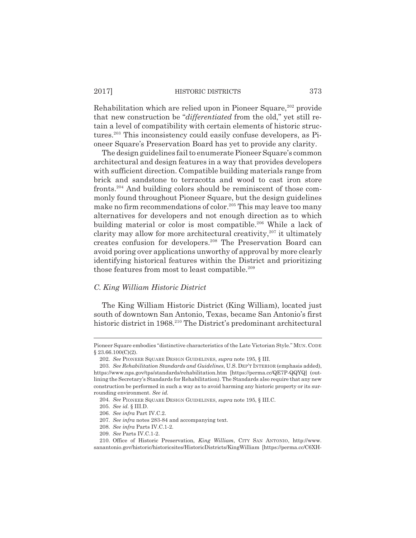Rehabilitation which are relied upon in Pioneer Square,<sup>202</sup> provide that new construction be "*differentiated* from the old," yet still retain a level of compatibility with certain elements of historic structures.203 This inconsistency could easily confuse developers, as Pioneer Square's Preservation Board has yet to provide any clarity.

The design guidelines fail to enumerate Pioneer Square's common architectural and design features in a way that provides developers with sufficient direction. Compatible building materials range from brick and sandstone to terracotta and wood to cast iron store fronts.204 And building colors should be reminiscent of those commonly found throughout Pioneer Square, but the design guidelines make no firm recommendations of color.<sup>205</sup> This may leave too many alternatives for developers and not enough direction as to which building material or color is most compatible.<sup>206</sup> While a lack of clarity may allow for more architectural creativity, $207$  it ultimately creates confusion for developers.208 The Preservation Board can avoid poring over applications unworthy of approval by more clearly identifying historical features within the District and prioritizing those features from most to least compatible.<sup>209</sup>

## *C. King William Historic District*

The King William Historic District (King William), located just south of downtown San Antonio, Texas, became San Antonio's first historic district in 1968.<sup>210</sup> The District's predominant architectural

209. *See* Parts IV.C.1-2.

Pioneer Square embodies "distinctive characteristics of the Late Victorian Style." MUN. CODE  $§ 23.66.100(C)(2).$ 

<sup>202.</sup> *See* PIONEER SQUARE DESIGN GUIDELINES, *supra* note 195, § III.

<sup>203.</sup> *See Rehabilitation Standards and Guidelines*, U.S. DEP'T INTERIOR (emphasis added), https://www.nps.gov/tps/standards/rehabilitation.htm [https://perma.cc/QE7P-QQYQ] (outlining the Secretary's Standards for Rehabilitation). The Standards also require that any new construction be performed in such a way as to avoid harming any historic property or its surrounding environment. *See id.*

<sup>204.</sup> *See* PIONEER SQUARE DESIGN GUIDELINES, *supra* note 195, § III.C.

<sup>205.</sup> *See id.* § III.D.

<sup>206.</sup> *See infra* Part IV.C.2.

<sup>207.</sup> *See infra* notes 283-84 and accompanying text.

<sup>208.</sup> *See infra* Parts IV.C.1-2.

<sup>210.</sup> Office of Historic Preservation, *King William*, CITY SAN ANTONIO, http://www. sanantonio.gov/historic/historicsites/HistoricDistricts/KingWilliam [https://perma.cc/C6XH-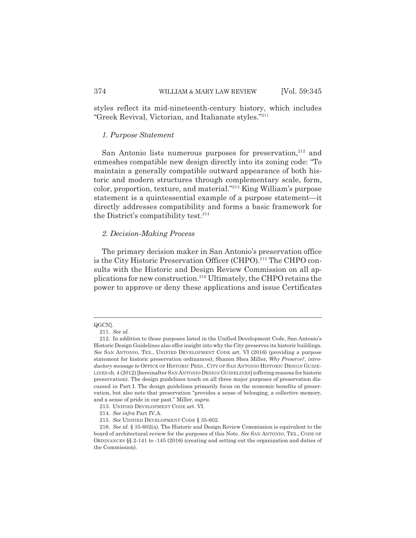styles reflect its mid-nineteenth-century history, which includes "Greek Revival, Victorian, and Italianate styles."211

#### *1. Purpose Statement*

San Antonio lists numerous purposes for preservation, $212$  and enmeshes compatible new design directly into its zoning code: "To maintain a generally compatible outward appearance of both historic and modern structures through complementary scale, form, color, proportion, texture, and material."213 King William's purpose statement is a quintessential example of a purpose statement—it directly addresses compatibility and forms a basic framework for the District's compatibility test. $214$ 

## *2. Decision-Making Process*

The primary decision maker in San Antonio's preservation office is the City Historic Preservation Officer (CHPO).<sup>215</sup> The CHPO consults with the Historic and Design Review Commission on all applications for new construction.216 Ultimately, the CHPO retains the power to approve or deny these applications and issue Certificates

QGCN].

<sup>211.</sup> *See id.*

<sup>212.</sup> In addition to those purposes listed in the Unified Development Code, San Antonio's Historic Design Guidelines also offer insight into why the City preserves its historic buildings. *See* SAN ANTONIO, TEX., UNIFIED DEVELOPMENT CODE art. VI (2016) (providing a purpose statement for historic preservation ordinances); Shanon Shea Miller, *Why Preserve?*, *introductory message to* OFFICE OF HISTORIC PRES., CITY OF SAN ANTONIO HISTORIC DESIGN GUIDE-LINES ch. 4 (2012) [hereinafter SAN ANTONIO DESIGN GUIDELINES] (offering reasons for historic preservation). The design guidelines touch on all three major purposes of preservation discussed in Part I. The design guidelines primarily focus on the economic benefits of preservation, but also note that preservation "provides a sense of belonging, a collective memory, and a sense of pride in our past." Miller, *supra*.

<sup>213.</sup> UNIFIED DEVELOPMENT CODE art. VI.

<sup>214.</sup> *See infra* Part IV.A.

<sup>215.</sup> *See* UNIFIED DEVELOPMENT CODE § 35-602.

<sup>216.</sup> *See id.* § 35-602(a). The Historic and Design Review Commission is equivalent to the board of architectural review for the purposes of this Note. *See* SAN ANTONIO, TEX., CODE OF ORDINANCES §§ 2-141 to -145 (2016) (creating and setting out the organization and duties of the Commission).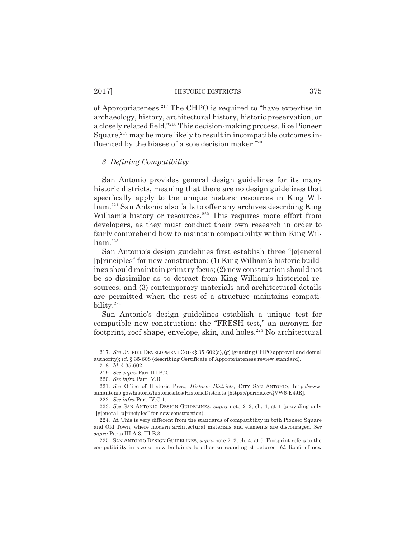of Appropriateness.217 The CHPO is required to "have expertise in archaeology, history, architectural history, historic preservation, or a closely related field."218 This decision-making process, like Pioneer Square,<sup>219</sup> may be more likely to result in incompatible outcomes influenced by the biases of a sole decision maker. $220$ 

## *3. Defining Compatibility*

San Antonio provides general design guidelines for its many historic districts, meaning that there are no design guidelines that specifically apply to the unique historic resources in King William.221 San Antonio also fails to offer any archives describing King William's history or resources.<sup>222</sup> This requires more effort from developers, as they must conduct their own research in order to fairly comprehend how to maintain compatibility within King Wil $liam.$ <sup>223</sup>

San Antonio's design guidelines first establish three "[g]eneral [p]rinciples" for new construction: (1) King William's historic buildings should maintain primary focus; (2) new construction should not be so dissimilar as to detract from King William's historical resources; and (3) contemporary materials and architectural details are permitted when the rest of a structure maintains compatibility.224

San Antonio's design guidelines establish a unique test for compatible new construction: the "FRESH test," an acronym for footprint, roof shape, envelope, skin, and holes. $225$  No architectural

222. *See infra* Part IV.C.1.

<sup>217.</sup> *See* UNIFIED DEVELOPMENT CODE §35-602(a), (g) (granting CHPO approval and denial authority); *id.* § 35-608 (describing Certificate of Appropriateness review standard).

<sup>218.</sup> *Id.* § 35-602.

<sup>219.</sup> *See supra* Part III.B.2.

<sup>220.</sup> *See infra* Part IV.B.

<sup>221.</sup> *See* Office of Historic Pres., *Historic Districts*, CITY SAN ANTONIO, http://www. sanantonio.gov/historic/historicsites/HistoricDistricts [https://perma.cc/QVW6-E4JR].

<sup>223.</sup> *See* SAN ANTONIO DESIGN GUIDELINES, *supra* note 212, ch. 4, at 1 (providing only "[g]eneral [p]rinciples" for new construction).

<sup>224.</sup> *Id.* This is very different from the standards of compatibility in both Pioneer Square and Old Town, where modern architectural materials and elements are discouraged. *See supra* Parts III.A.3, III.B.3.

<sup>225.</sup> SAN ANTONIO DESIGN GUIDELINES, *supra* note 212, ch. 4, at 5. Footprint refers to the compatibility in size of new buildings to other surrounding structures. *Id.* Roofs of new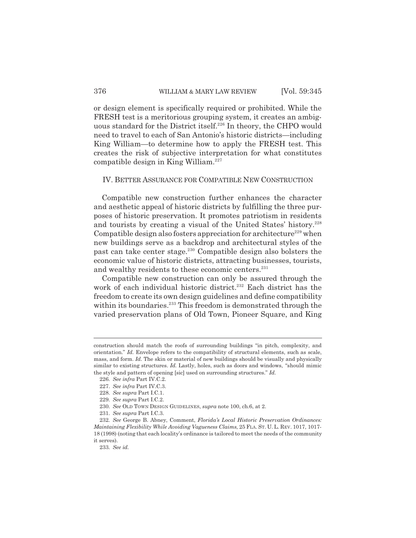or design element is specifically required or prohibited. While the FRESH test is a meritorious grouping system, it creates an ambiguous standard for the District itself.<sup>226</sup> In theory, the CHPO would need to travel to each of San Antonio's historic districts—including King William—to determine how to apply the FRESH test. This creates the risk of subjective interpretation for what constitutes compatible design in King William. $227$ 

#### IV. BETTER ASSURANCE FOR COMPATIBLE NEW CONSTRUCTION

Compatible new construction further enhances the character and aesthetic appeal of historic districts by fulfilling the three purposes of historic preservation. It promotes patriotism in residents and tourists by creating a visual of the United States' history.<sup>228</sup> Compatible design also fosters appreciation for architecture<sup>229</sup> when new buildings serve as a backdrop and architectural styles of the past can take center stage.230 Compatible design also bolsters the economic value of historic districts, attracting businesses, tourists, and wealthy residents to these economic centers.<sup>231</sup>

Compatible new construction can only be assured through the work of each individual historic district.<sup>232</sup> Each district has the freedom to create its own design guidelines and define compatibility within its boundaries.<sup>233</sup> This freedom is demonstrated through the varied preservation plans of Old Town, Pioneer Square, and King

construction should match the roofs of surrounding buildings "in pitch, complexity, and orientation." *Id.* Envelope refers to the compatibility of structural elements, such as scale, mass, and form. *Id.* The skin or material of new buildings should be visually and physically similar to existing structures. *Id.* Lastly, holes, such as doors and windows, "should mimic the style and pattern of opening [sic] used on surrounding structures." *Id.*

<sup>226.</sup> *See infra* Part IV.C.2.

<sup>227.</sup> *See infra* Part IV.C.3.

<sup>228.</sup> *See supra* Part I.C.1.

<sup>229.</sup> *See supra* Part I.C.2.

<sup>230.</sup> *See* OLD TOWN DESIGN GUIDELINES, *supra* note 100, ch.6, at 2.

<sup>231.</sup> *See supra* Part I.C.3.

<sup>232.</sup> *See* George B. Abney, Comment, *Florida's Local Historic Preservation Ordinances: Maintaining Flexibility While Avoiding Vagueness Claims*, 25 FLA. ST. U. L. REV. 1017, 1017- 18 (1998) (noting that each locality's ordinance is tailored to meet the needs of the community it serves).

<sup>233.</sup> *See id.*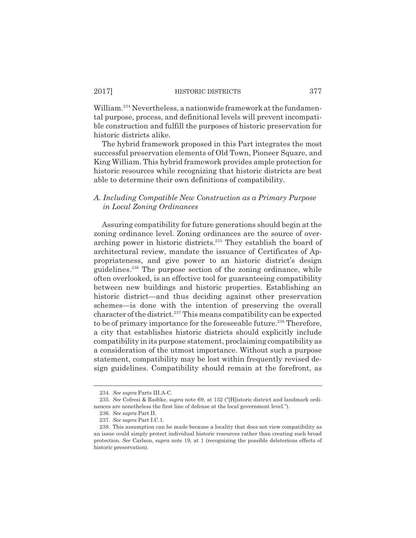William.234 Nevertheless, a nationwide framework at the fundamental purpose, process, and definitional levels will prevent incompatible construction and fulfill the purposes of historic preservation for historic districts alike.

The hybrid framework proposed in this Part integrates the most successful preservation elements of Old Town, Pioneer Square, and King William. This hybrid framework provides ample protection for historic resources while recognizing that historic districts are best able to determine their own definitions of compatibility.

# *A. Including Compatible New Construction as a Primary Purpose in Local Zoning Ordinances*

Assuring compatibility for future generations should begin at the zoning ordinance level. Zoning ordinances are the source of overarching power in historic districts.<sup>235</sup> They establish the board of architectural review, mandate the issuance of Certificates of Appropriateness, and give power to an historic district's design guidelines.<sup>236</sup> The purpose section of the zoning ordinance, while often overlooked, is an effective tool for guaranteeing compatibility between new buildings and historic properties. Establishing an historic district—and thus deciding against other preservation schemes—is done with the intention of preserving the overall character of the district.<sup>237</sup> This means compatibility can be expected to be of primary importance for the foreseeable future.<sup>238</sup> Therefore, a city that establishes historic districts should explicitly include compatibility in its purpose statement, proclaiming compatibility as a consideration of the utmost importance. Without such a purpose statement, compatibility may be lost within frequently revised design guidelines. Compatibility should remain at the forefront, as

<sup>234.</sup> *See supra* Parts III.A-C.

<sup>235.</sup> *See* Cofresi & Radtke, *supra* note 69, at 132 ("[H]istoric district and landmark ordinances are nonetheless the first line of defense at the local government level.").

<sup>236.</sup> *See supra* Part II.

<sup>237.</sup> *See supra* Part I.C.1.

<sup>238.</sup> This assumption can be made because a locality that does not view compatibility as an issue could simply protect individual historic resources rather than creating such broad protection. *See* Carlson, *supra* note 19, at 1 (recognizing the possible deleterious effects of historic preservation).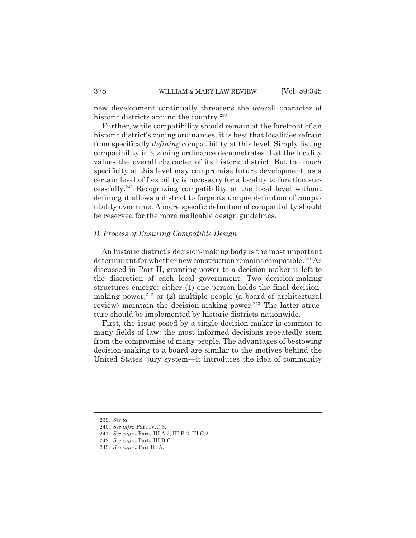new development continually threatens the overall character of historic districts around the country.<sup>239</sup>

Further, while compatibility should remain at the forefront of an historic district's zoning ordinances, it is best that localities refrain from specifically *defining* compatibility at this level. Simply listing compatibility in a zoning ordinance demonstrates that the locality values the overall character of its historic district. But too much specificity at this level may compromise future development, as a certain level of flexibility is necessary for a locality to function successfully.240 Recognizing compatibility at the local level without defining it allows a district to forge its unique definition of compatibility over time. A more specific definition of compatibility should be reserved for the more malleable design guidelines.

## *B. Process of Ensuring Compatible Design*

An historic district's decision-making body is the most important determinant for whether new construction remains compatible.<sup>241</sup> As discussed in Part II, granting power to a decision maker is left to the discretion of each local government. Two decision-making structures emerge: either (1) one person holds the final decisionmaking power;<sup>242</sup> or (2) multiple people (a board of architectural review) maintain the decision-making power. $243$  The latter structure should be implemented by historic districts nationwide.

First, the issue posed by a single decision maker is common to many fields of law: the most informed decisions repeatedly stem from the compromise of many people. The advantages of bestowing decision-making to a board are similar to the motives behind the United States' jury system—it introduces the idea of community

<sup>239.</sup> *See id.*

<sup>240.</sup> *See infra* Part IV.C.3.

<sup>241.</sup> *See supra* Parts III.A.2, III.B.2, III.C.2.

<sup>242.</sup> *See supra* Parts III.B-C.

<sup>243.</sup> *See supra* Part III.A.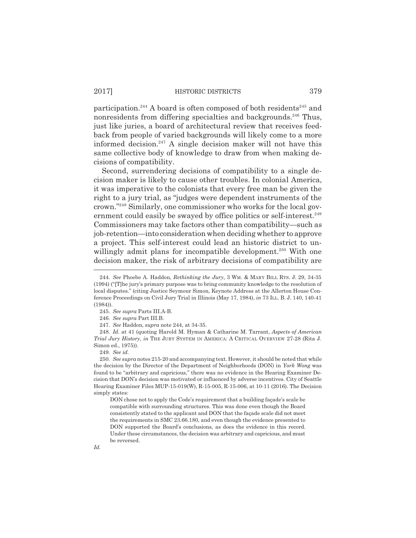participation.<sup>244</sup> A board is often composed of both residents<sup>245</sup> and nonresidents from differing specialties and backgrounds.<sup>246</sup> Thus, just like juries, a board of architectural review that receives feedback from people of varied backgrounds will likely come to a more informed decision.<sup>247</sup> A single decision maker will not have this same collective body of knowledge to draw from when making decisions of compatibility.

Second, surrendering decisions of compatibility to a single decision maker is likely to cause other troubles. In colonial America, it was imperative to the colonists that every free man be given the right to a jury trial, as "judges were dependent instruments of the crown."248 Similarly, one commissioner who works for the local government could easily be swayed by office politics or self-interest.<sup>249</sup> Commissioners may take factors other than compatibility—such as job-retention—into consideration when deciding whether to approve a project. This self-interest could lead an historic district to unwillingly admit plans for incompatible development.<sup>250</sup> With one decision maker, the risk of arbitrary decisions of compatibility are

DON chose not to apply the Code's requirement that a building façade's scale be compatible with surrounding structures. This was done even though the Board consistently stated to the applicant and DON that the façade scale did not meet the requirements in SMC 23.66.180, and even though the evidence presented to DON supported the Board's conclusions, as does the evidence in this record. Under these circumstances, the decision was arbitrary and capricious, and must be reversed.

<sup>244.</sup> *See* Phoebe A. Haddon, *Rethinking the Jury*, 3 WM. & MARY BILL RTS. J. 29, 34-35 (1994) ("[T]he jury's primary purpose was to bring community knowledge to the resolution of local disputes." (citing Justice Seymour Simon, Keynote Address at the Allerton House Conference Proceedings on Civil Jury Trial in Illinois (May 17, 1984), *in* 73 ILL. B. J. 140, 140-41 (1984)).

<sup>245.</sup> *See supra* Parts III.A-B.

<sup>246.</sup> *See supra* Part III.B.

<sup>247.</sup> *See* Haddon, *supra* note 244, at 34-35.

<sup>248.</sup> *Id.* at 41 (quoting Harold M. Hyman & Catharine M. Tarrant, *Aspects of American Trial Jury History*, *in* THE JURY SYSTEM IN AMERICA: A CRITICAL OVERVIEW 27-28 (Rita J. Simon ed., 1975)).

<sup>249.</sup> *See id.*

<sup>250.</sup> *See supra* notes 215-20 and accompanying text. However, it should be noted that while the decision by the Director of the Department of Neighborhoods (DON) in *York Wong* was found to be "arbitrary and capricious," there was no evidence in the Hearing Examiner Decision that DON's decision was motivated or influenced by adverse incentives. City of Seattle Hearing Examiner Files MUP-15-019(W), R-15-005, R-15-006, at 10-11 (2016). The Decision simply states: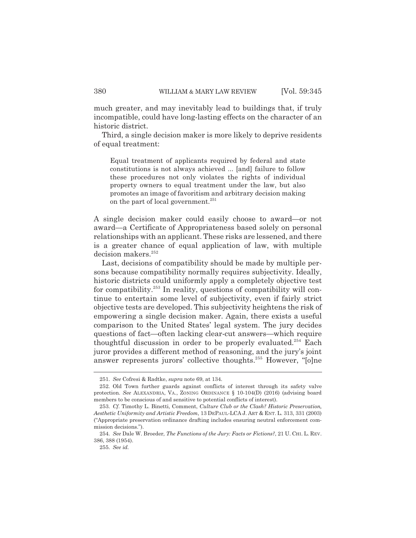much greater, and may inevitably lead to buildings that, if truly incompatible, could have long-lasting effects on the character of an historic district.

Third, a single decision maker is more likely to deprive residents of equal treatment:

Equal treatment of applicants required by federal and state constitutions is not always achieved ... [and] failure to follow these procedures not only violates the rights of individual property owners to equal treatment under the law, but also promotes an image of favoritism and arbitrary decision making on the part of local government.<sup>251</sup>

A single decision maker could easily choose to award—or not award—a Certificate of Appropriateness based solely on personal relationships with an applicant. These risks are lessened, and there is a greater chance of equal application of law, with multiple decision makers.<sup>252</sup>

Last, decisions of compatibility should be made by multiple persons because compatibility normally requires subjectivity. Ideally, historic districts could uniformly apply a completely objective test for compatibility.253 In reality, questions of compatibility will continue to entertain some level of subjectivity, even if fairly strict objective tests are developed. This subjectivity heightens the risk of empowering a single decision maker. Again, there exists a useful comparison to the United States' legal system. The jury decides questions of fact—often lacking clear-cut answers—which require thoughtful discussion in order to be properly evaluated.<sup>254</sup> Each juror provides a different method of reasoning, and the jury's joint answer represents jurors' collective thoughts.<sup>255</sup> However, "[o]ne

<sup>251.</sup> *See* Cofresi & Radtke, *supra* note 69, at 134.

<sup>252.</sup> Old Town further guards against conflicts of interest through its safety valve protection. *See* ALEXANDRIA, VA., ZONING ORDINANCE § 10-104(D) (2016) (advising board members to be conscious of and sensitive to potential conflicts of interest).

<sup>253.</sup> *Cf.* Timothy L. Binetti, Comment, *Culture Club or the Clash? Historic Preservation, Aesthetic Uniformity and Artistic Freedom*, 13 DEPAUL-LCA J. ART & ENT. L. 313, 331 (2003) ("Appropriate preservation ordinance drafting includes ensuring neutral enforcement commission decisions.").

<sup>254.</sup> *See* Dale W. Broeder, *The Functions of the Jury: Facts or Fictions?*, 21 U. CHI. L. REV. 386, 388 (1954).

<sup>255.</sup> *See id.*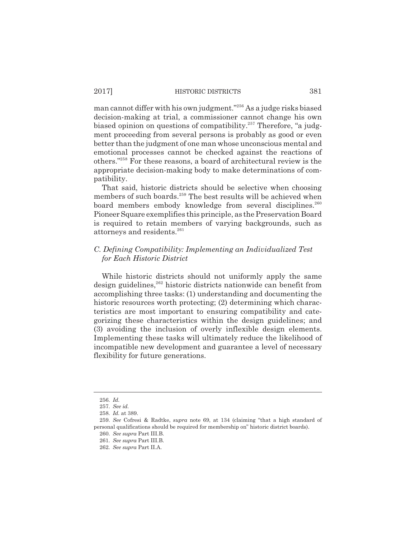man cannot differ with his own judgment."256 As a judge risks biased decision-making at trial, a commissioner cannot change his own biased opinion on questions of compatibility.<sup>257</sup> Therefore, "a judgment proceeding from several persons is probably as good or even better than the judgment of one man whose unconscious mental and emotional processes cannot be checked against the reactions of others."258 For these reasons, a board of architectural review is the appropriate decision-making body to make determinations of compatibility.

That said, historic districts should be selective when choosing members of such boards.<sup>259</sup> The best results will be achieved when board members embody knowledge from several disciplines.<sup>260</sup> Pioneer Square exemplifies this principle, as the Preservation Board is required to retain members of varying backgrounds, such as attorneys and residents.<sup>261</sup>

# *C. Defining Compatibility: Implementing an Individualized Test for Each Historic District*

While historic districts should not uniformly apply the same design guidelines,<sup>262</sup> historic districts nationwide can benefit from accomplishing three tasks: (1) understanding and documenting the historic resources worth protecting; (2) determining which characteristics are most important to ensuring compatibility and categorizing these characteristics within the design guidelines; and (3) avoiding the inclusion of overly inflexible design elements. Implementing these tasks will ultimately reduce the likelihood of incompatible new development and guarantee a level of necessary flexibility for future generations.

<sup>256.</sup> *Id.* 

<sup>257.</sup> *See id.*

<sup>258.</sup> *Id.* at 389.

<sup>259.</sup> *See* Cofresi & Radtke, *supra* note 69, at 134 (claiming "that a high standard of personal qualifications should be required for membership on" historic district boards).

<sup>260.</sup> *See supra* Part III.B.

<sup>261.</sup> *See supra* Part III.B.

<sup>262.</sup> *See supra* Part II.A.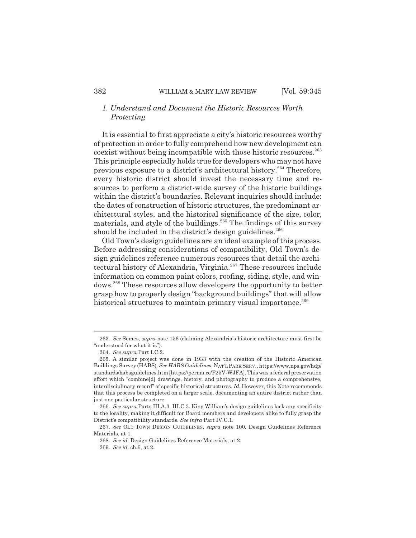# *1. Understand and Document the Historic Resources Worth Protecting*

It is essential to first appreciate a city's historic resources worthy of protection in order to fully comprehend how new development can coexist without being incompatible with those historic resources.263 This principle especially holds true for developers who may not have previous exposure to a district's architectural history.<sup>264</sup> Therefore, every historic district should invest the necessary time and resources to perform a district-wide survey of the historic buildings within the district's boundaries. Relevant inquiries should include: the dates of construction of historic structures, the predominant architectural styles, and the historical significance of the size, color, materials, and style of the buildings.<sup>265</sup> The findings of this survey should be included in the district's design guidelines.<sup>266</sup>

Old Town's design guidelines are an ideal example of this process. Before addressing considerations of compatibility, Old Town's design guidelines reference numerous resources that detail the architectural history of Alexandria, Virginia.267 These resources include information on common paint colors, roofing, siding, style, and windows.268 These resources allow developers the opportunity to better grasp how to properly design "background buildings" that will allow historical structures to maintain primary visual importance.<sup>269</sup>

<sup>263.</sup> *See* Semes, *supra* note 156 (claiming Alexandria's historic architecture must first be "understood for what it is").

<sup>264.</sup> *See supra* Part I.C.2.

<sup>265.</sup> A similar project was done in 1933 with the creation of the Historic American Buildings Survey (HABS). *See HABS Guidelines*, NAT'L PARK SERV., https://www.nps.gov/hdp/ standards/habsguidelines.htm [https://perma.cc/F25V-WJFA]. This was a federal preservation effort which "combine[d] drawings, history, and photography to produce a comprehensive, interdisciplinary record" of specific historical structures. *Id.* However, this Note recommends that this process be completed on a larger scale, documenting an entire district rather than just one particular structure.

<sup>266.</sup> *See supra* Parts III.A.3, III.C.3. King William's design guidelines lack any specificity to the locality, making it difficult for Board members and developers alike to fully grasp the District's compatibility standards. *See infra* Part IV.C.1.

<sup>267.</sup> *See* OLD TOWN DESIGN GUIDELINES, *supra* note 100, Design Guidelines Reference Materials, at 1.

<sup>268.</sup> *See id.* Design Guidelines Reference Materials, at 2.

<sup>269.</sup> *See id.* ch.6, at 2.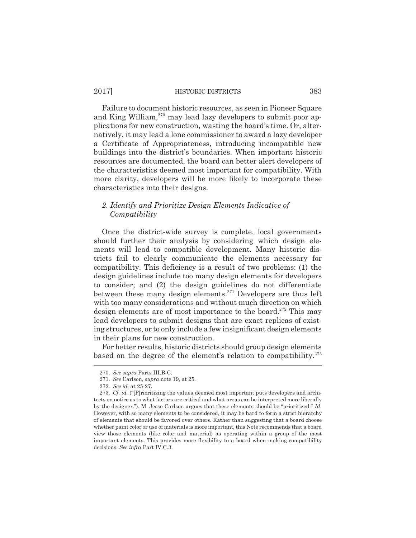Failure to document historic resources, as seen in Pioneer Square and King William,<sup>270</sup> may lead lazy developers to submit poor applications for new construction, wasting the board's time. Or, alternatively, it may lead a lone commissioner to award a lazy developer a Certificate of Appropriateness, introducing incompatible new buildings into the district's boundaries. When important historic resources are documented, the board can better alert developers of the characteristics deemed most important for compatibility. With more clarity, developers will be more likely to incorporate these characteristics into their designs.

# *2. Identify and Prioritize Design Elements Indicative of Compatibility*

Once the district-wide survey is complete, local governments should further their analysis by considering which design elements will lead to compatible development. Many historic districts fail to clearly communicate the elements necessary for compatibility. This deficiency is a result of two problems: (1) the design guidelines include too many design elements for developers to consider; and (2) the design guidelines do not differentiate between these many design elements.<sup>271</sup> Developers are thus left with too many considerations and without much direction on which design elements are of most importance to the board.<sup>272</sup> This may lead developers to submit designs that are exact replicas of existing structures, or to only include a few insignificant design elements in their plans for new construction.

For better results, historic districts should group design elements based on the degree of the element's relation to compatibility.<sup>273</sup>

<sup>270.</sup> *See supra* Parts III.B-C.

<sup>271.</sup> *See* Carlson, *supra* note 19, at 25.

<sup>272.</sup> *See id.* at 25-27.

<sup>273.</sup> *Cf. id.* ("[P]rioritizing the values deemed most important puts developers and architects on notice as to what factors are critical and what areas can be interpreted more liberally by the designer."). M. Jesse Carlson argues that these elements should be "prioritized." *Id.* However, with so many elements to be considered, it may be hard to form a strict hierarchy of elements that should be favored over others. Rather than suggesting that a board choose whether paint color or use of materials is more important, this Note recommends that a board view those elements (like color and material) as operating within a group of the most important elements. This provides more flexibility to a board when making compatibility decisions. *See infra* Part IV.C.3.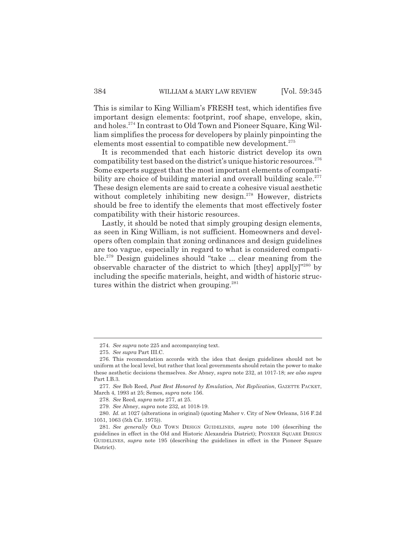This is similar to King William's FRESH test, which identifies five important design elements: footprint, roof shape, envelope, skin, and holes.274 In contrast to Old Town and Pioneer Square, King William simplifies the process for developers by plainly pinpointing the elements most essential to compatible new development.275

It is recommended that each historic district develop its own compatibility test based on the district's unique historic resources. $276$ Some experts suggest that the most important elements of compatibility are choice of building material and overall building scale.<sup>277</sup> These design elements are said to create a cohesive visual aesthetic without completely inhibiting new design.<sup>278</sup> However, districts should be free to identify the elements that most effectively foster compatibility with their historic resources.

Lastly, it should be noted that simply grouping design elements, as seen in King William, is not sufficient. Homeowners and developers often complain that zoning ordinances and design guidelines are too vague, especially in regard to what is considered compatible.279 Design guidelines should "take ... clear meaning from the observable character of the district to which [they] appl[y]"280 by including the specific materials, height, and width of historic structures within the district when grouping. $281$ 

<sup>274.</sup> *See supra* note 225 and accompanying text.

<sup>275.</sup> *See supra* Part III.C.

<sup>276.</sup> This recomendation accords with the idea that design guidelines should not be uniform at the local level, but rather that local governments should retain the power to make these aesthetic decisions themselves. *See* Abney, *supra* note 232, at 1017-18; *see also supra* Part I.B.3.

<sup>277.</sup> *See* Bob Reed, *Past Best Honored by Emulation, Not Replication*, GAZETTE PACKET, March 4, 1993 at 25; Semes, *supra* note 156.

<sup>278.</sup> *See* Reed, *supra* note 277, at 25.

<sup>279.</sup> *See* Abney, *supra* note 232, at 1018-19.

<sup>280.</sup> *Id.* at 1027 (alterations in original) (quoting Maher v. City of New Orleans, 516 F.2d 1051, 1063 (5th Cir. 1975)).

<sup>281.</sup> *See generally* OLD TOWN DESIGN GUIDELINES, *supra* note 100 (describing the guidelines in effect in the Old and Historic Alexandria District); PIONEER SQUARE DESIGN GUIDELINES, *supra* note 195 (describing the guidelines in effect in the Pioneer Square District).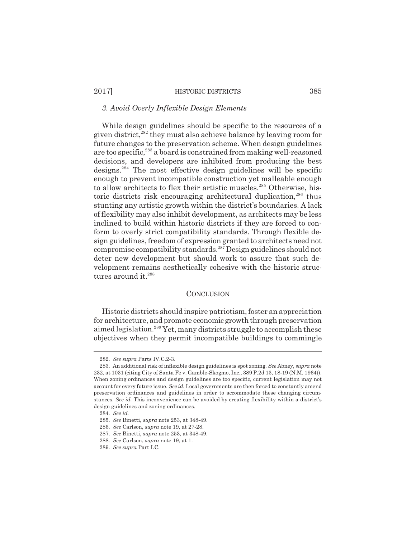# *3. Avoid Overly Inflexible Design Elements*

While design guidelines should be specific to the resources of a given district,<sup>282</sup> they must also achieve balance by leaving room for future changes to the preservation scheme. When design guidelines are too specific,<sup>283</sup> a board is constrained from making well-reasoned decisions, and developers are inhibited from producing the best designs.284 The most effective design guidelines will be specific enough to prevent incompatible construction yet malleable enough to allow architects to flex their artistic muscles.<sup>285</sup> Otherwise, historic districts risk encouraging architectural duplication, $286$  thus stunting any artistic growth within the district's boundaries. A lack of flexibility may also inhibit development, as architects may be less inclined to build within historic districts if they are forced to conform to overly strict compatibility standards. Through flexible design guidelines, freedom of expression granted to architects need not compromise compatibility standards.287 Design guidelines should not deter new development but should work to assure that such development remains aesthetically cohesive with the historic structures around it.<sup>288</sup>

#### **CONCLUSION**

Historic districts should inspire patriotism, foster an appreciation for architecture, and promote economic growth through preservation aimed legislation.289 Yet, many districts struggle to accomplish these objectives when they permit incompatible buildings to commingle

<sup>282.</sup> *See supra* Parts IV.C.2-3.

<sup>283.</sup> An additional risk of inflexible design guidelines is spot zoning. *See* Abney, *supra* note 232, at 1031 (citing City of Santa Fe v. Gamble-Skogmo, Inc., 389 P.2d 13, 18-19 (N.M. 1964)). When zoning ordinances and design guidelines are too specific, current legislation may not account for every future issue. *See id.* Local governments are then forced to constantly amend preservation ordinances and guidelines in order to accommodate these changing circumstances. *See id.* This inconvenience can be avoided by creating flexibility within a district's design guidelines and zoning ordinances.

<sup>284.</sup> *See id.*

<sup>285.</sup> *See* Binetti, *supra* note 253, at 348-49.

<sup>286.</sup> *See* Carlson, *supra* note 19, at 27-28.

<sup>287.</sup> *See* Binetti, *supra* note 253, at 348-49.

<sup>288.</sup> *See* Carlson, *supra* note 19, at 1.

<sup>289.</sup> *See supra* Part I.C.